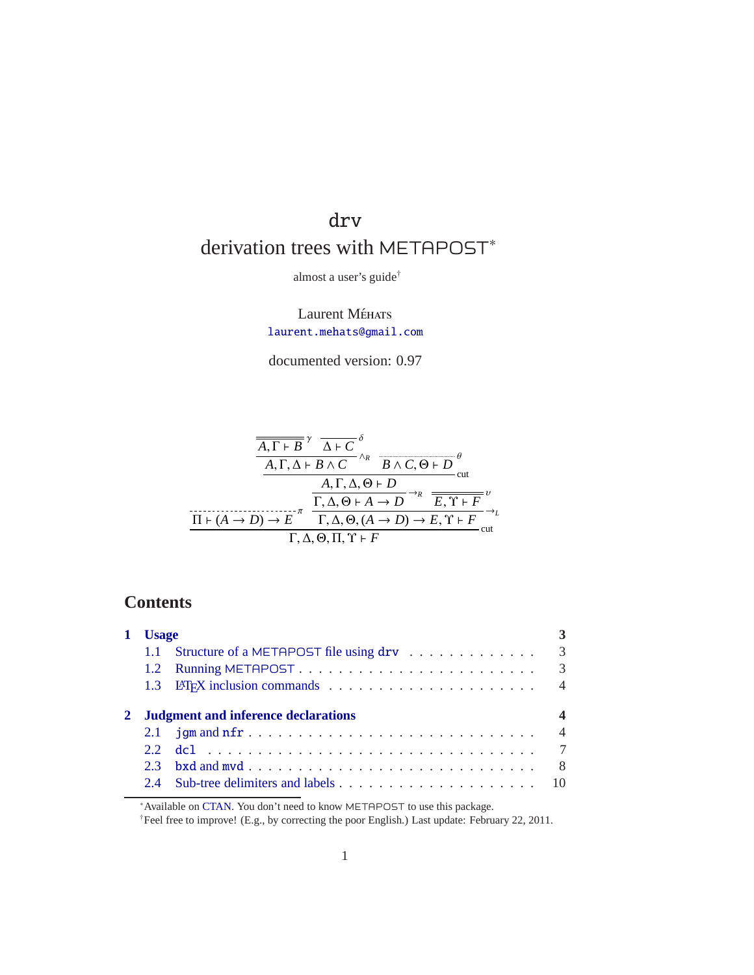# drv derivation trees with METAPOST<sup>\*</sup>

almost a user's guide†

Laurent Méhats [laurent.mehats@gmail.com](mailto:laurent.mehats@gmail.com?subject=[drv 0.97])

documented version: 0.97

$$
\frac{\overline{A, \Gamma \vdash B}^{\gamma} \Delta \vdash C^{\delta}}{A, \Gamma, \Delta \vdash B \wedge C^{\wedge_R} \overline{B \wedge C, \Theta \vdash D}}^{\theta}_{\text{cut}}
$$
\n
$$
\frac{A, \Gamma, \Delta, \Theta \vdash D}{\Gamma, \Delta, \Theta \vdash A \rightarrow D}^{\text{cut}}
$$
\n
$$
\frac{\Gamma, \Delta, \Theta \vdash A \rightarrow D}{\Gamma, \Delta, \Theta, (A \rightarrow D) \rightarrow E, \Upsilon \vdash F}^{\nu}_{\text{cut}}
$$
\n
$$
\Gamma, \Delta, \Theta, \Pi, \Upsilon \vdash F
$$

## **Contents**

| <b>Usage</b> |               |                                            |                |  |
|--------------|---------------|--------------------------------------------|----------------|--|
|              | $1.1^{\circ}$ | Structure of a METAPOST file using drv     | 3              |  |
|              |               |                                            | $\mathcal{R}$  |  |
|              |               |                                            | $\overline{4}$ |  |
|              |               |                                            |                |  |
|              |               | <b>Judgment and inference declarations</b> |                |  |
|              |               |                                            |                |  |
|              | 22            |                                            |                |  |
|              | 23            |                                            | -8             |  |

<sup>∗</sup>Available on [CTAN.](http://www.ctan.org/tex-archive/graphics/metapost/contrib/macros/drv/) You don't need to know METAPOST to use this package.

†Feel free to improve! (E.g., by correcting the poor English.) Last update: February 22, 2011.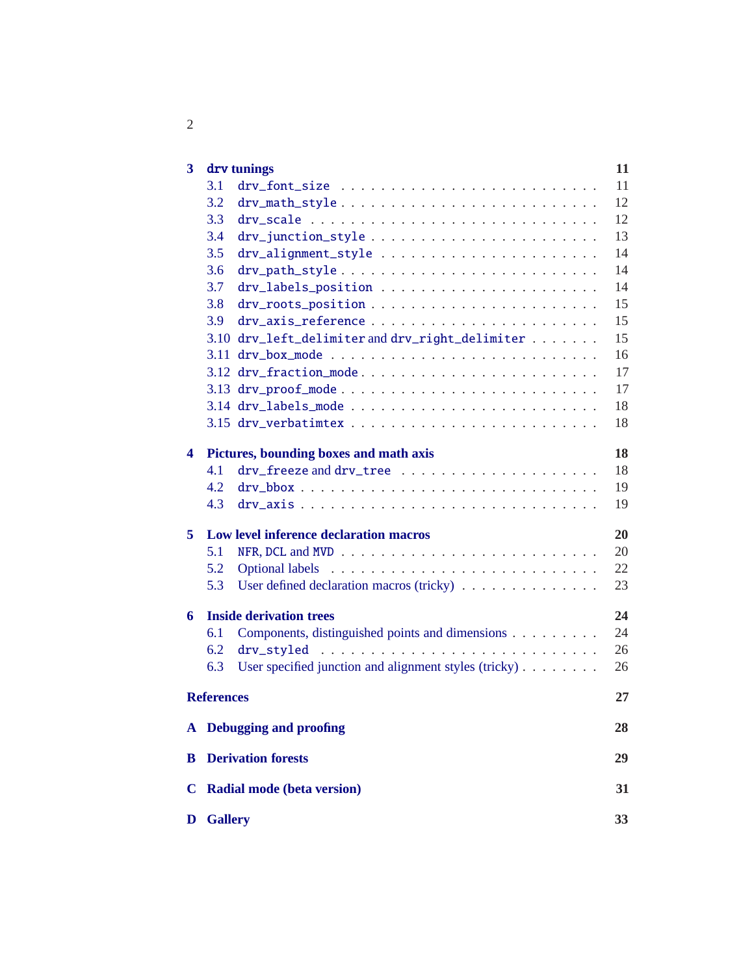| 3           | drv tunings                                                  | 11 |
|-------------|--------------------------------------------------------------|----|
|             | 3.1                                                          | 11 |
|             | 3.2<br>drv_math_style                                        | 12 |
|             | 3.3                                                          | 12 |
|             | 3.4                                                          | 13 |
|             | 3.5                                                          | 14 |
|             | 3.6<br>drv_path_style                                        | 14 |
|             | 3.7                                                          | 14 |
|             | 3.8                                                          | 15 |
|             | 3.9                                                          | 15 |
|             | 3.10 drv_left_delimiter and drv_right_delimiter              | 15 |
|             | 3.11                                                         | 16 |
|             | 3.12 drv_fraction_mode                                       | 17 |
|             | 3.13 drv_proof_mode                                          | 17 |
|             |                                                              | 18 |
|             |                                                              | 18 |
| 4           | Pictures, bounding boxes and math axis                       | 18 |
|             | 4.1                                                          | 18 |
|             | 4.2                                                          | 19 |
|             | 4.3<br>$\text{drv}\text{-axis}$                              | 19 |
| 5           | Low level inference declaration macros                       | 20 |
|             | 5.1                                                          | 20 |
|             | 5.2                                                          | 22 |
|             | 5.3<br>User defined declaration macros (tricky)              | 23 |
| 6           | <b>Inside derivation trees</b>                               | 24 |
|             | Components, distinguished points and dimensions<br>6.1       | 24 |
|             | 6.2<br>drv_styled                                            | 26 |
|             | User specified junction and alignment styles (tricky)<br>6.3 | 26 |
|             | <b>References</b>                                            | 27 |
|             | A Debugging and proofing                                     | 28 |
| B           | <b>Derivation forests</b>                                    | 29 |
|             |                                                              |    |
| $\mathbf C$ | <b>Radial mode (beta version)</b>                            | 31 |
| D           | <b>Gallery</b>                                               | 33 |

2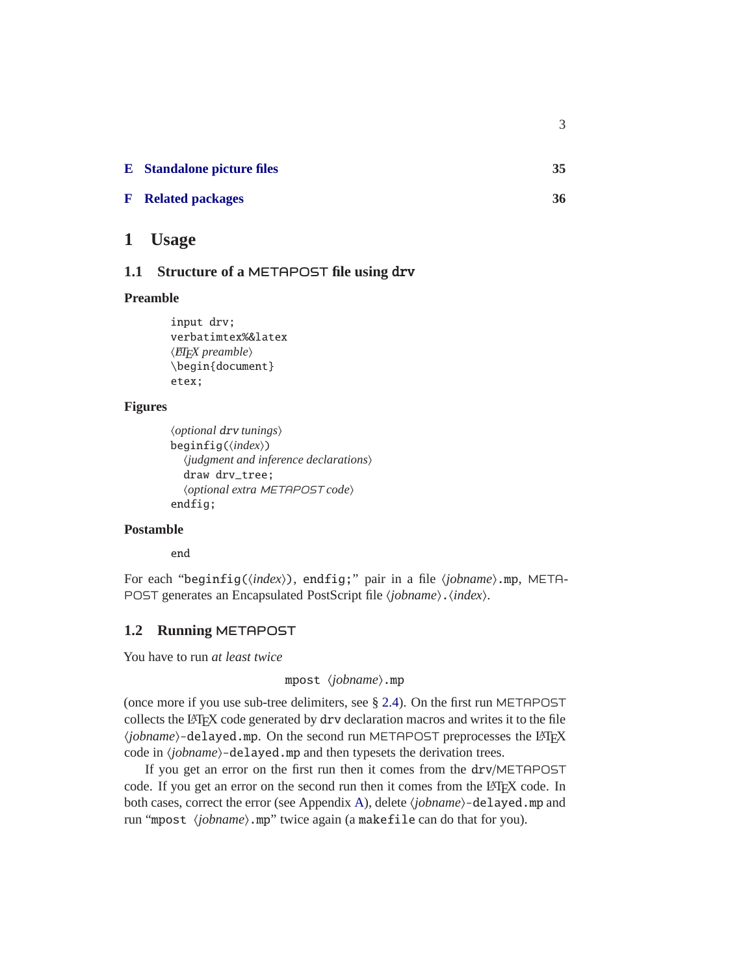| <b>E</b> Standalone picture files | 35 |
|-----------------------------------|----|
| <b>F</b> Related packages         | 36 |

3

#### <span id="page-2-1"></span><span id="page-2-0"></span>**1 Usage**

#### **1.1 Structure of a** METAPOST **file using** drv

#### **Preamble**

```
input drv;
verbatimtex%&latex
hLATEX preamblei
\begin{document}
etex;
```
#### **Figures**

```
hoptional drv tuningsi
beginfig((index))
  \langlejudgment and inference declarations\rangledraw drv_tree;
  hoptional extra METAPOST codei
endfig;
```
#### **Postamble**

end

For each "beginfig(\index)), endfig;" pair in a file \jobname\.mp, META-POST generates an Encapsulated PostScript file (*jobname*). (*index*).

#### <span id="page-2-2"></span>**1.2 Running** METAPOST

You have to run *at least twice*

#### mpost  $\langle\textit{jobname}\rangle$ .mp

(once more if you use sub-tree delimiters, see § [2.4\)](#page-9-0). On the first run METAPOST collects the LATEX code generated by drv declaration macros and writes it to the file  $\langle jobname \rangle$ -delayed.mp. On the second run METAPOST preprocesses the L<sup>AT</sup>EX code in  $\langle jobname \rangle$ -delayed.mp and then typesets the derivation trees.

If you get an error on the first run then it comes from the drv/METAPOST code. If you get an error on the second run then it comes from the LATEX code. In both cases, correct the error (see Appendix [A\)](#page-27-0), delete *(jobname*)-delayed.mp and run "mpost (*jobname*).mp" twice again (a makefile can do that for you).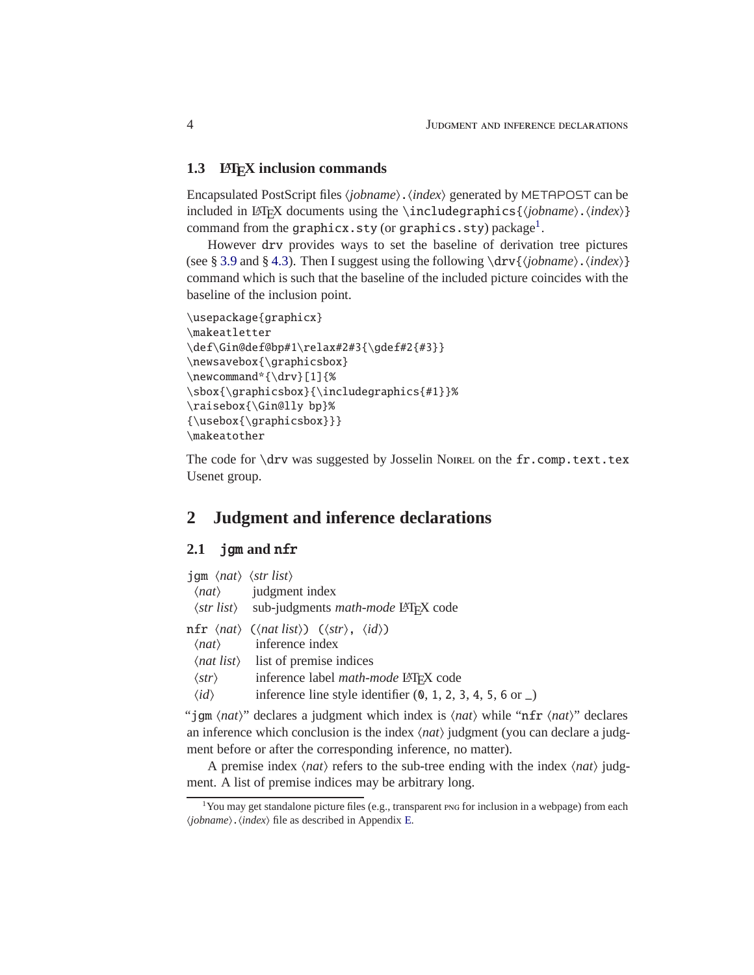#### <span id="page-3-0"></span>**1.3 LAF<sub><b>K**</sub>**X** inclusion commands

Encapsulated PostScript files  $\langle jobname \rangle$ .  $\langle index \rangle$  generated by METAPOST can be included in LAT<sub>E</sub>X documents using the \includegraphics{\*jobname*}.\*index*}} command from the  $\texttt{graphicx}.\texttt{sty}$  (or  $\texttt{graphics}.\texttt{sty})$   $\texttt{package}^1.$  $\texttt{package}^1.$  $\texttt{package}^1.$ 

However drv provides ways to set the baseline of derivation tree pictures (see § [3.9](#page-14-1) and § [4.3\)](#page-18-1). Then I suggest using the following  $\d{rv}{jobname}$ .  $\in$ } command which is such that the baseline of the included picture coincides with the baseline of the inclusion point.

```
\usepackage{graphicx}
\makeatletter
\def\Gin@def@bp#1\relax#2#3{\qdef#2{#3}}
\newsavebox{\graphicsbox}
\newcommand*{\drv}[1]{%
\sbox{\graphicsbox}{\includegraphics{#1}}%
\raisebox{\Gin@lly bp}%
{\usebox{\graphicsbox}}}
\makeatother
```
The code for \drv was suggested by Josselin Nome ion the fr.comp.text.tex Usenet group.

### <span id="page-3-1"></span>**2 Judgment and inference declarations**

#### <span id="page-3-2"></span>**2.1** jgm **and** nfr

| $\langle$ gm $\langle$ <i>nat</i> $\rangle$ $\langle$ <i>str list</i> $\rangle$ | $\langle nat\rangle$ judgment index<br>$\langle str \text{ list} \rangle$ sub-judgments <i>math-mode</i> LAT <sub>F</sub> X code                                                                                                                                                                                                    |
|---------------------------------------------------------------------------------|-------------------------------------------------------------------------------------------------------------------------------------------------------------------------------------------------------------------------------------------------------------------------------------------------------------------------------------|
| $\langle str \rangle$<br>$\langle id \rangle$                                   | nfr $\langle nat \rangle$ ( $\langle nat \text{ list} \rangle$ ) ( $\langle str \rangle$ , $\langle id \rangle$ )<br>$\langle nat\rangle$ inference index<br>$\langle nat\; list \rangle$ list of premise indices<br>inference label math-mode LATFX code<br>inference line style identifier $(0, 1, 2, 3, 4, 5, 6 \text{ or } \_)$ |

"jgm  $\langle nat \rangle$ " declares a judgment which index is  $\langle nat \rangle$  while "nfr  $\langle nat \rangle$ " declares an inference which conclusion is the index  $\langle nat \rangle$  judgment (you can declare a judgment before or after the corresponding inference, no matter).

A premise index  $\langle nat \rangle$  refers to the sub-tree ending with the index  $\langle nat \rangle$  judgment. A list of premise indices may be arbitrary long.

<span id="page-3-3"></span><sup>&</sup>lt;sup>1</sup>You may get standalone picture files (e.g., transparent pos for inclusion in a webpage) from each  $\langle jobname \rangle$ .  $\langle index \rangle$  file as described in Appendix [E.](#page-34-0)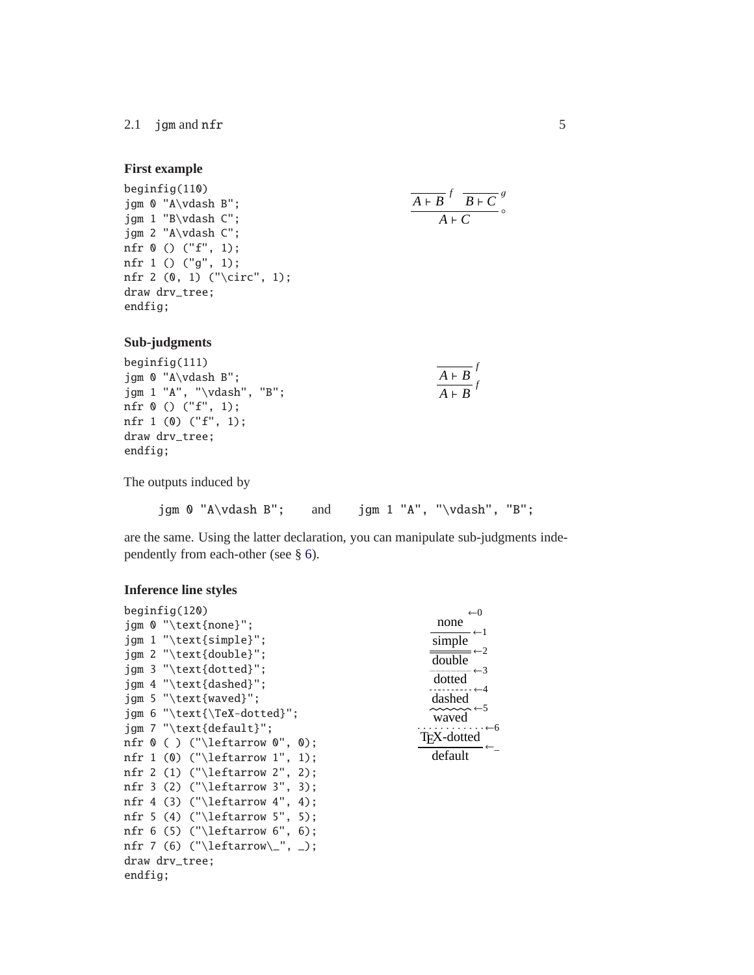#### 2.1 jgm and nfr 5

#### <span id="page-4-0"></span>**First example**

```
beginfig(110)
jgm 0 "A\vdash B";
jgm 1 "B\vdash C";
jgm 2 "A\vdash C";
nfr 0 () ("f", 1);
nfr 1 () ("g", 1);
nfr 2 (0, 1) ("\circ", 1);
draw drv_tree;
endfig;
```

$$
\frac{\overline{A+B}^f \ \overline{B+C}^g}{A+C} \circ
$$

 $\overline{A \vdash B}$ <sup>*f*</sup>  $\overline{A \vdash B}$ <sup>*f*</sup>

**Sub-judgments**

beginfig(111) jgm 0 "A\vdash B"; jgm 1 "A", "\vdash", "B"; nfr 0 () ("f", 1); nfr 1 (0) ("f", 1); draw drv\_tree; endfig;

The outputs induced by

```
jgm 0 "A\vdash B"; and jgm 1 "A", "\vdash", "B";
```
are the same. Using the latter declaration, you can manipulate sub-judgments independently from each-other (see § [6\)](#page-23-0).

#### **Inference line styles**

| begining(120)                                                     | $\leftarrow 0$                                  |
|-------------------------------------------------------------------|-------------------------------------------------|
| $\gamma$ of $\mathbb{C}$ . The $\gamma$ ign $\gamma$ ign $\gamma$ | none                                            |
| $\text{jam } 1$ "\text{simple}";                                  | simple                                          |
| $\gamma$ 2 "\text{double}";                                       | $\leftarrow$ 2<br>double                        |
| $\text{igm}$ 3 "\text{dotted}";                                   |                                                 |
| igm 4 "\text{dashed}";                                            | dotted                                          |
| $\gamma$ igm 5 "\text{waved}";                                    | dashed                                          |
| $\gamma$ 6 "\text{\TeX-dotted}";                                  | $\sim\!\!\sim\!\sim\! \leftarrow\!\!5$<br>waved |
| igm 7 "\text{default}":                                           | $\cdot \cdot \leftarrow 6$                      |
| nfr $\theta$ ( ) ("\leftarrow $\theta$ ", $\theta$ );             | T <sub>F</sub> X-dotted                         |
| nfr 1 (0) ("\leftarrow 1", 1);                                    | default                                         |
| nfr 2 (1) ("\leftarrow 2", 2);                                    |                                                 |
| nfr 3 (2) ("\leftarrow 3", 3);                                    |                                                 |
| nfr 4 (3) ("\leftarrow 4", 4);                                    |                                                 |
| nfr 5 (4) ("\leftarrow 5", 5);                                    |                                                 |
| nfr $6(5)$ ("\leftarrow $6$ ", $6$ );                             |                                                 |
| nfr 7 (6) ("\leftarrow\_", _);                                    |                                                 |
| draw drv_tree;                                                    |                                                 |
| endfig:                                                           |                                                 |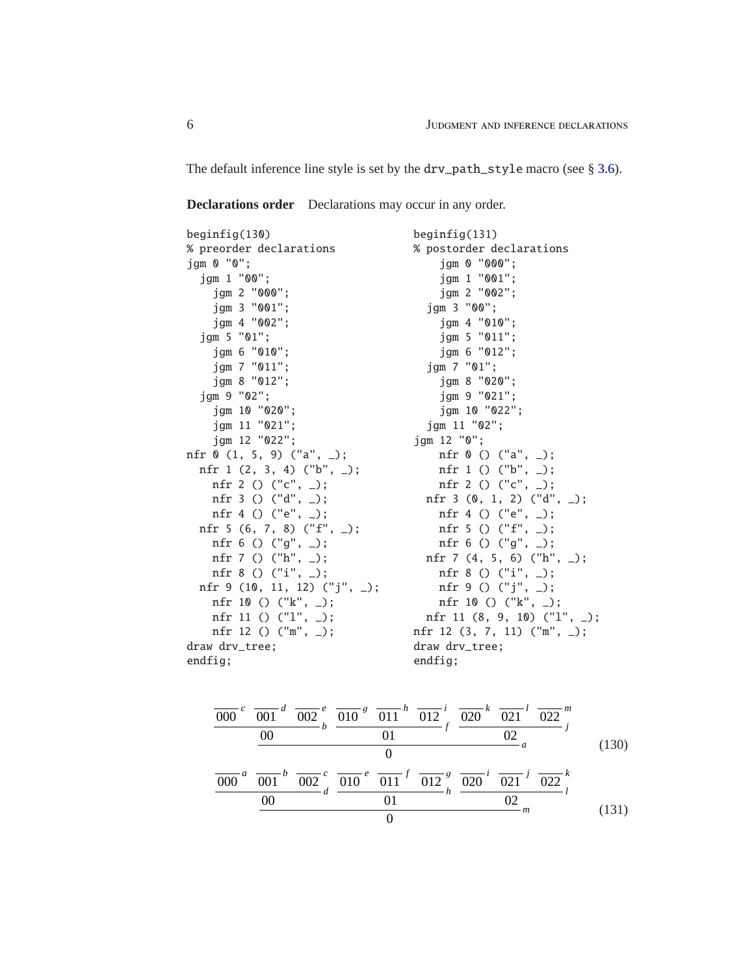The default inference line style is set by the drv\_path\_style macro (see § [3.6\)](#page-13-1).

**Declarations order** Declarations may occur in any order.

| begining(130)                      | $begin{bmatrix} 131 \end{bmatrix}$ |  |
|------------------------------------|------------------------------------|--|
| % preorder declarations            | % postorder declarations           |  |
| $\text{jgm} \space 0 \space "0"$ ; | jgm 0 "000";                       |  |
| jgm 1 "00";                        | jgm 1 "001";                       |  |
| jgm 2 "000";                       | jgm 2 "002";                       |  |
| jgm 3 "001";                       | jgm 3 "00";                        |  |
| jgm 4 "002";                       | jgm 4 "010";                       |  |
| jgm 5 "01";                        | jgm 5 "011";                       |  |
| jgm 6 "010";                       | jgm 6 "012";                       |  |
| jgm 7 "011";                       | jgm 7 "01";                        |  |
| jgm 8 "012";                       | jgm 8 "020";                       |  |
| jgm 9 "02";                        | jgm 9 "021";                       |  |
| jgm 10 "020";                      | jgm 10 "022";                      |  |
| jgm 11 "021";                      | jgm 11 "02";                       |  |
| jgm 12 "022";                      | jgm 12 "0";                        |  |
| nfr $0$ (1, 5, 9) ("a", $\_$ );    | nfr $0$ () ("a", _);               |  |
| nfr 1 $(2, 3, 4)$ ("b", $\_$ );    | nfr 1 () $('b", _-)$ ;             |  |
| nfr 2 () $("c", _-)$ ;             | nfr 2 () $("c", _-)$ ;             |  |
| nfr 3 () $('d", _-)$ ;             | nfr 3 $(0, 1, 2)$ $("d", _-)$ ;    |  |
| nfr 4 () ("e", $_$ );              | nfr 4 () ("e", $_$ );              |  |
| nfr 5 (6, 7, 8) $("f", _-)$ ;      | nfr 5 () ("f", $_$ );              |  |
| nfr $6() ("g", _-)$ ;              | nfr $6() ("g", _-)$ ;              |  |
| nfr 7 () ("h", $_$ );              | nfr 7 $(4, 5, 6)$ ("h", _);        |  |
| nfr 8 () $("i", _-)$ ;             | nfr 8 () $("i", _-)$ ;             |  |
| nfr 9 (10, 11, 12) ("j", _);       | nfr 9 () $('j", _-)$ ;             |  |
| nfr 10 () $("k", _-)$ ;            | nfr 10 () $('k", _-)$ ;            |  |
| nfr 11 () $('1", _-)$ ;            | nfr 11 $(8, 9, 10)$ $("1", )$ ;    |  |
| nfr 12 () $("m", _-)$ ;            | nfr 12 (3, 7, 11) ("m", _);        |  |
| draw drv_tree;                     | draw drv_tree;                     |  |
| endfig;                            | endfig;                            |  |

$$
\frac{\overline{000}^c \overline{001}^d \overline{002}^e}{00} \overline{00}^d \overline{002}^e \overline{010}^g \overline{011}^h \overline{012}^i f \overline{020}^k \overline{021}^l \overline{022}^m
$$
\n
$$
\frac{0}{000}^a \overline{001}^b \overline{002}^c \overline{010}^e \overline{011}^f \overline{012}^g \overline{020}^i \overline{021}^j \overline{022}^k
$$
\n
$$
\frac{0}{00}^a \overline{001}^b \overline{002}^c d \overline{010}^e \overline{011}^f \overline{012}^g \overline{020}^i \overline{021}^j \overline{022}^k
$$
\n
$$
\frac{0}{0}^a \overline{01}^a \overline{01}^e \overline{01}^i \overline{01}^g \overline{02}^m \qquad (131)
$$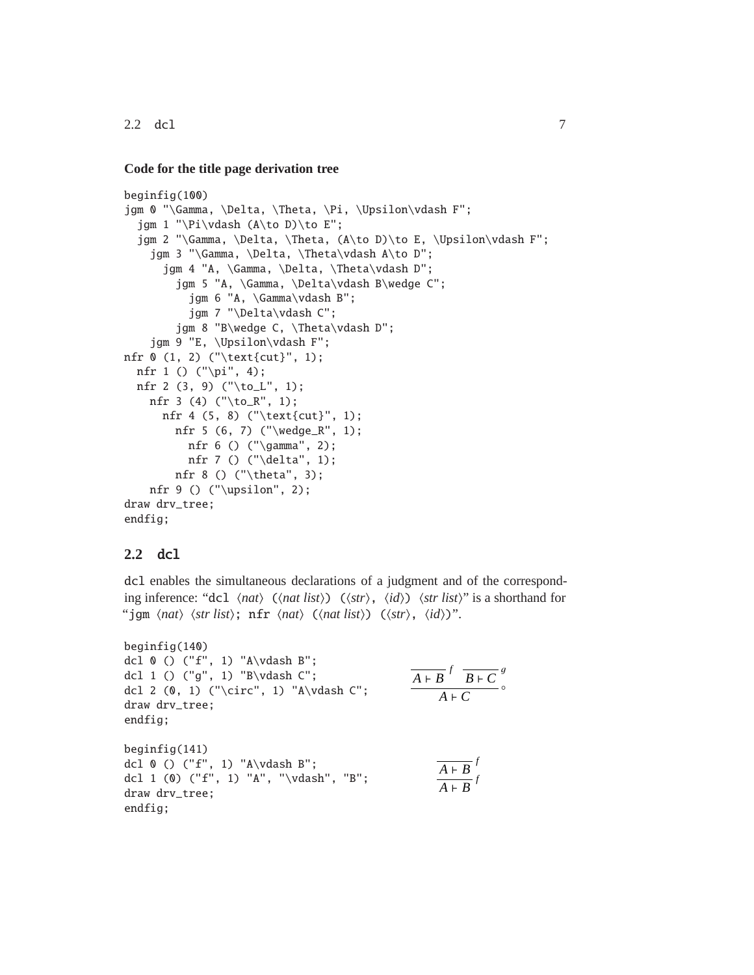$2.2$  dcl  $7$ 

#### **Code for the title page derivation tree**

```
beginfig(100)
jgm 0 "\Gamma, \Delta, \Theta, \Pi, \Upsilon\vdash F";
  jgm 1 "\Pi\vdash (A\to D)\to E";
  jgm 2 "\Gamma, \Delta, \Theta, (A\to D)\to E, \Upsilon\vdash F";
    jgm 3 "\Gamma, \Delta, \Theta\vdash A\to D";
      jgm 4 "A, \Gamma, \Delta, \Theta\vdash D";
        jgm 5 "A, \Gamma, \Delta\vdash B\wedge C";
          jgm 6 "A, \Gamma\vdash B";
          jgm 7 "\Delta\vdash C";
        jgm 8 "B\wedge C, \Theta\vdash D";
    jgm 9 "E, \Upsilon\vdash F";
nfr 0 (1, 2) ("\text{cut}", 1);
 nfr 1 () ("\pi", 4);
  nfr 2 (3, 9) ("\to_L", 1);
   nfr 3 (4) ("\to_R", 1);
     nfr 4 (5, 8) ("\text{cut}", 1);
        nfr 5 (6, 7) ("\wedge_R", 1);
         nfr 6 () ("\gamma", 2);
         nfr 7 () ("\delta", 1);
        nfr 8 () ("\theta", 3);
   nfr 9 () ("\upsilon", 2);
draw drv_tree;
endfig;
```
#### <span id="page-6-0"></span>**2.2** dcl

dcl enables the simultaneous declarations of a judgment and of the corresponding inference: "dcl  $\langle nat \rangle$  ( $\langle nat \rangle$ ) ( $\langle str \rangle$ ,  $\langle id \rangle$ )  $\langle str \rangle$  is a shorthand for "jgm  $\langle nat \rangle$   $\langle str \; list \rangle$ ; nfr  $\langle nat \rangle$  ( $\langle nat \; list \rangle$ ) ( $\langle str \rangle$ ,  $\langle id \rangle$ )".

```
beginfig(140)
dcl 0 () ("f", 1) "A\vdash B";
dcl 1 () ("g", 1) "B\vdash C";
dcl 2 (0, 1) ("\circ", 1) "A\vdash C";
draw drv_tree;
endfig;
beginfig(141)
dcl 0 () ("f", 1) "A\vdash B";
dcl 1 (0) ("f", 1) "A", "\vdash", "B";
draw drv_tree;
endfig;
                                                                  \overline{A + B}<sup>f</sup> \overline{B + C}<sup>g</sup>
                                                                        \overline{A \vdash C}<sup>o</sup>
                                                                        \overline{A \vdash B}<sup>f</sup>
                                                                        \overline{A \vdash B}<sup>f</sup>
```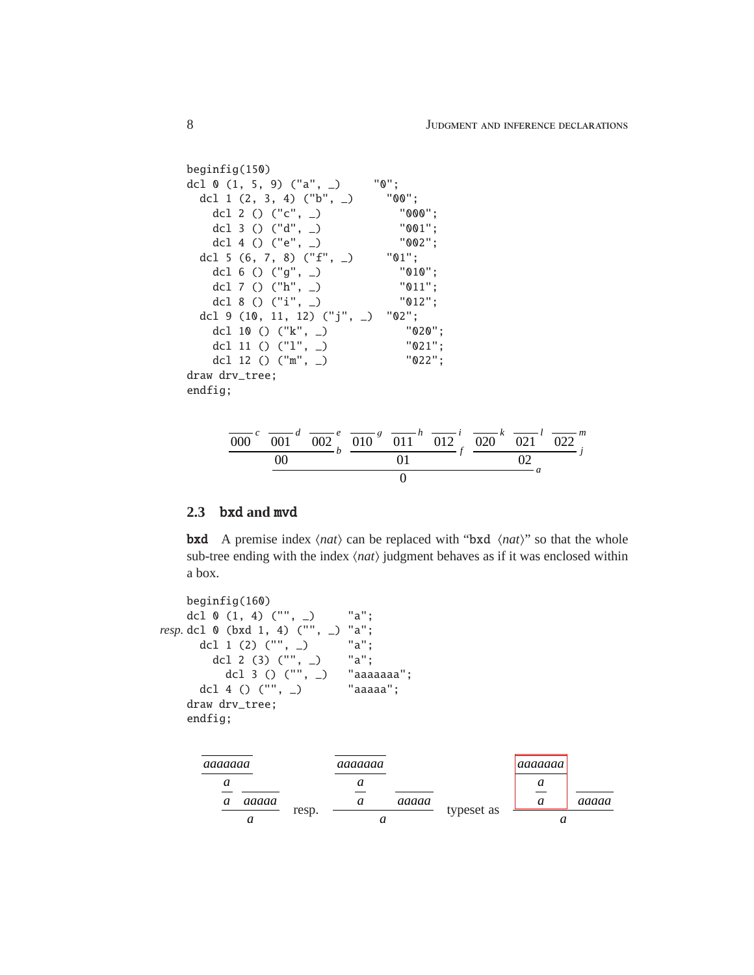```
beginfig(150)
dcl 0 (1, 5, 9) ("a", _) "0";
 dcl 1 (2, 3, 4) ("b", _) "00";
   dcl 2 () ("c", _) 0.000";
   dcl 3 () ("d", _) "001";
   dcl 4 () ("e", _{-})
 dcl 5 (6, 7, 8) ("f", _) "01";
   dcl 6 () ("g", _) "010";
   dcl 7 () ("h", _) "011";
   dcl 8 () ("i", _) "012";
 dcl 9 (10, 11, 12) ("j", _) "02";
   dcl 10 () ("k", _) "020";
   dcl 11 () ("l", _) "021";
   dcl 12 () ("m", _) "022";
draw drv_tree;
endfig;
```


#### <span id="page-7-0"></span>**2.3** bxd **and** mvd

**bxd** A premise index  $\langle nat \rangle$  can be replaced with "bxd  $\langle nat \rangle$ " so that the whole sub-tree ending with the index  $\langle nat \rangle$  judgment behaves as if it was enclosed within a box.

beginfig(160) dcl 0 (1, 4) ("", \_) "a"; *resp.* dcl 0 (bxd 1, 4) ("", \_) "a"; dcl 1 (2) ("", \_) "a"; dcl 2 (3) ("", \_) "a"; dcl 3 () ("", \_) "aaaaaaa"; dcl 4 () ("", \_) "aaaaa"; draw drv\_tree; endfig; *aaaaaaa a a aaaaa a* resp. *aaaaaaa a a aaaaa a* typeset as *aaaaaaa a a aaaaa a*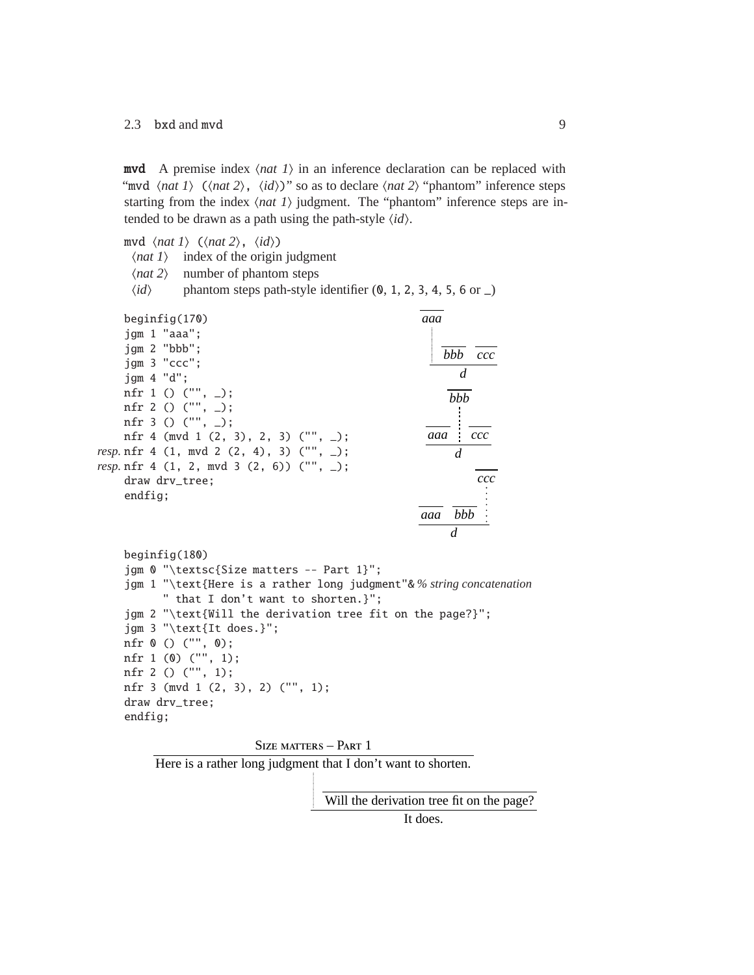#### 2.3 bxd and mvd 9

**mvd** A premise index  $\langle nat \rangle$  in an inference declaration can be replaced with "mvd  $\langle$ *nat 1* $\rangle$  ( $\langle$ *nat 2* $\rangle$ ,  $\langle$ *id* $\rangle$ )" so as to declare  $\langle$ *nat 2* $\rangle$  "phantom" inference steps starting from the index  $\langle$ *nat 1* $\rangle$  judgment. The "phantom" inference steps are intended to be drawn as a path using the path-style  $\langle id \rangle$ .

mvd  $\langle nat \, 1 \rangle$  ( $\langle nat \, 2 \rangle$ ,  $\langle id \rangle$ )

- $\langle$ *nat 1* $\rangle$  index of the origin judgment
- $\langle nat 2\rangle$  number of phantom steps
- $\langle id \rangle$  phantom steps path-style identifier  $(0, 1, 2, 3, 4, 5, 6 \text{ or } \_)$

| $beginingsmall} \n$                              | aaa               |
|--------------------------------------------------|-------------------|
| jgm 1 "aaa":                                     |                   |
| jqm 2 "bbb";                                     | <i>bbb</i><br>ccc |
| $\text{jgm } 3$ "ccc";                           |                   |
| iam 4 "d":                                       | d                 |
| nfr 1 () $("", _-)$ ;                            | hhh               |
| nfr 2 () $("", _{\_})$ ;                         |                   |
| nfr 3 () $("", _{\_})$ ;                         |                   |
| nfr 4 (mvd 1 $(2, 3)$ , 2, 3) ("", _);           | aaa<br>ccc        |
| <i>resp</i> .nfr 4 (1, mvd 2 (2, 4), 3) ("", _); | d                 |
| <i>resp</i> .nfr 4 (1, 2, mvd 3 (2, 6)) ("", _); |                   |
| draw drv_tree;                                   | ccc               |
| endfig:                                          |                   |
|                                                  | hhh<br>aaa        |
|                                                  | d                 |

```
beginfig(180)
jgm 0 "\textsc{Size matters -- Part 1}";
jgm 1 "\text{Here is a rather long judgment"& % string concatenation
      " that I don't want to shorten.}";
jgm 2 "\text{Will the derivation tree fit on the page?}";
jgm 3 "\text{It does.}";
nfr 0 () ("", 0);
nfr 1 (0) ("", 1);
nfr 2 () ("", 1);
nfr 3 (mvd 1 (2, 3), 2) ("", 1);
draw drv_tree;
endfig;
```


Here is a rather long judgment that I don't want to shorten.

Will the derivation tree fit on the page?

It does.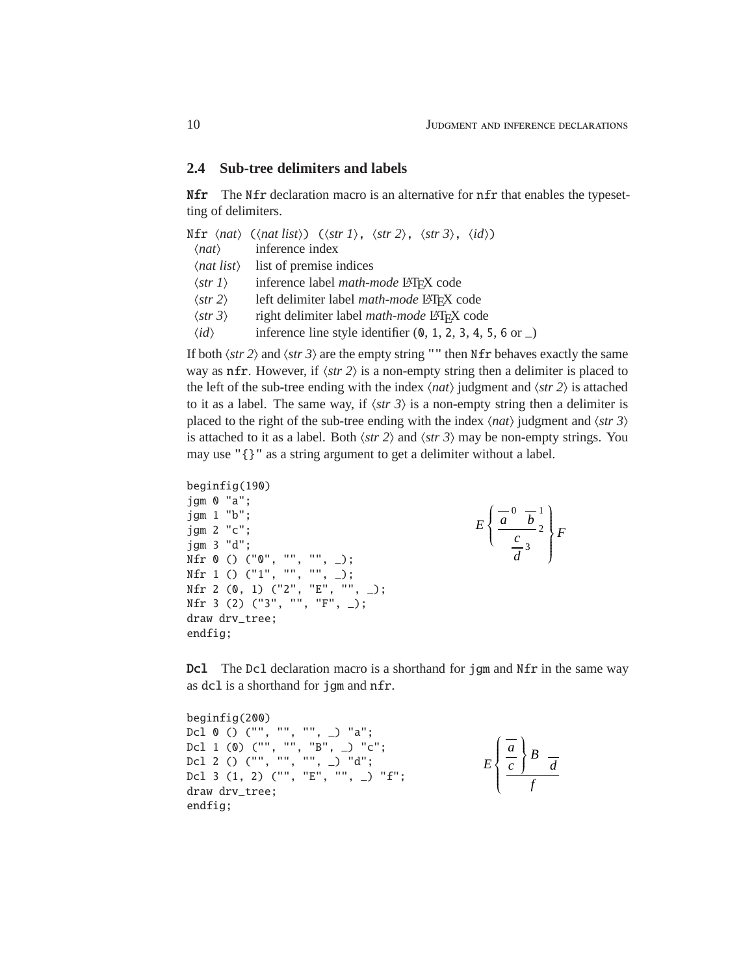#### <span id="page-9-0"></span>**2.4 Sub-tree delimiters and labels**

**Nfr** The Nfr declaration macro is an alternative for nfr that enables the typesetting of delimiters.

|                           | Nfr $\langle nat \rangle$ ( $\langle nat \rangle$ list)) ( $\langle str \rangle$ , $\langle str \rangle$ , $\langle str \rangle$ , $\langle str \rangle$ , $\langle id \rangle$ ) |
|---------------------------|-----------------------------------------------------------------------------------------------------------------------------------------------------------------------------------|
| $\langle nat\rangle$      | inference index                                                                                                                                                                   |
|                           | $\langle$ <i>nat list</i> $\rangle$ list of premise indices                                                                                                                       |
| $\langle$ str 1 $\rangle$ | inference label math-mode LATFX code                                                                                                                                              |
| $\langle$ str 2 $\rangle$ | left delimiter label <i>math-mode</i> L <sup>AT</sup> FX code                                                                                                                     |
| $\langle str 3 \rangle$   | right delimiter label <i>math-mode</i> LAT <sub>F</sub> X code                                                                                                                    |
| $\langle id \rangle$      | inference line style identifier $(0, 1, 2, 3, 4, 5, 6 \text{ or } \_)$                                                                                                            |
|                           |                                                                                                                                                                                   |

If both  $\langle str 2 \rangle$  and  $\langle str 3 \rangle$  are the empty string "" then Nfr behaves exactly the same way as nfr. However, if  $\langle str 2 \rangle$  is a non-empty string then a delimiter is placed to the left of the sub-tree ending with the index  $\langle nat \rangle$  judgment and  $\langle str 2 \rangle$  is attached to it as a label. The same way, if  $\langle str 3 \rangle$  is a non-empty string then a delimiter is placed to the right of the sub-tree ending with the index  $\langle nat \rangle$  judgment and  $\langle str 3 \rangle$ is attached to it as a label. Both  $\langle str 2 \rangle$  and  $\langle str 3 \rangle$  may be non-empty strings. You may use "{}" as a string argument to get a delimiter without a label.

```
beginfig(190)
jgm 0 "a";
jgm 1 "b";
jgm 2 "c";
jgm 3 "d";
Nfr 0 () ("0", "", "", _);
Nfr 1 () ("1", "", "", _);
Nfr 2 (0, 1) ("2", "E", "", _);
Nfr 3 (2) ("3", "", "F", _);
draw drv_tree;
endfig;
```

```
\frac{a}{a}<sup>0</sup>\frac{a}{b}<sup>1</sup>
                                      c
E
           \left\{ \right.\left(\frac{c}{\frac{c}{\sqrt{3}}} \right)^2d
                                                                                  F
                                                                        \begin{array}{c} \end{array}\begin{array}{ccc} 3 & \end{array}
```
Dcl The Dcl declaration macro is a shorthand for jgm and Nfr in the same way as dcl is a shorthand for jgm and nfr.

beginfig(200) Dcl  $\theta$  () ("", "", "", \_) "a"; Dcl 1 (0) ("", "", "B", \_) "c"; Dcl 2 () ("", "", "", \_) "d"; Dcl 3 (1, 2) ("", "E", "", \_) "f"; draw drv\_tree; endfig; *a c B*  $\bigg\}$  *<sup>d</sup> f E*  $\left\{\rule{0cm}{1.25cm}\right.$  $\overline{\mathcal{L}}$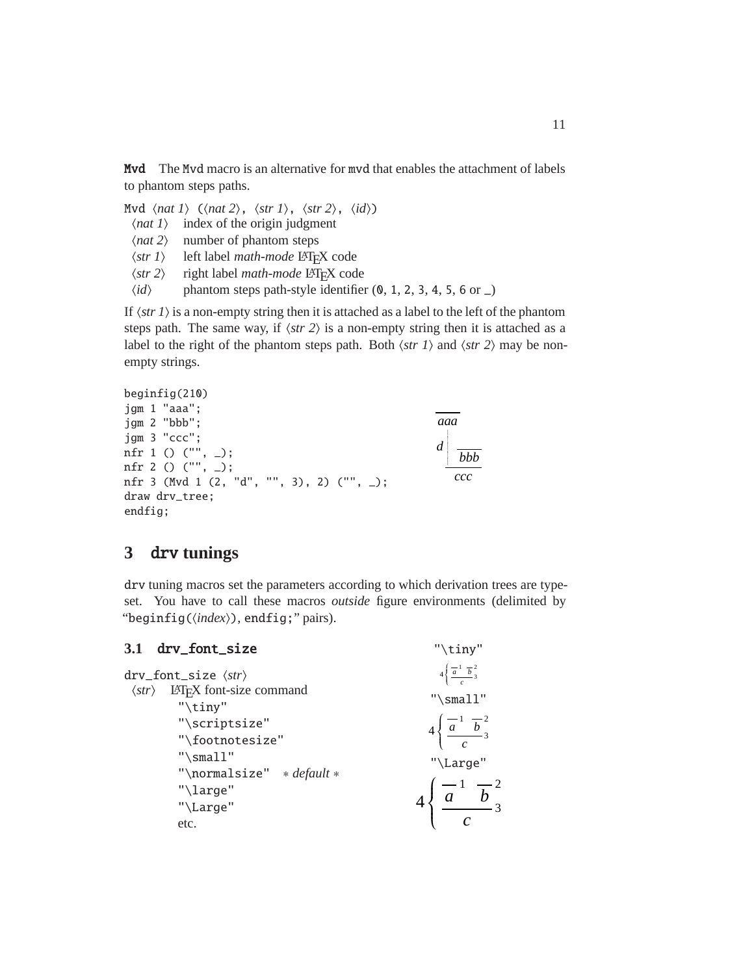Mvd The Mvd macro is an alternative for mvd that enables the attachment of labels to phantom steps paths.

Mvd  $\langle nat \, 1 \rangle$  ( $\langle nat \, 2 \rangle$ ,  $\langle str \, 1 \rangle$ ,  $\langle str \, 2 \rangle$ ,  $\langle id \rangle$ )

- $\langle$ *nat 1* $\rangle$  index of the origin judgment
- $\langle nat 2\rangle$  number of phantom steps
- $\langle str 1 \rangle$  left label *math-mode* LAT<sub>E</sub>X code<br>  $\langle str 2 \rangle$  right label *math-mode* LATEX cod
- $\langle str 2 \rangle$  right label *math-mode* LAT<sub>E</sub>X code<br> $\langle id \rangle$  phantom steps path-style identifies
- phantom steps path-style identifier (0, 1, 2, 3, 4, 5, 6 or  $\Box$ )

If  $\langle$ str 1 $\rangle$  is a non-empty string then it is attached as a label to the left of the phantom steps path. The same way, if  $\langle str 2 \rangle$  is a non-empty string then it is attached as a label to the right of the phantom steps path. Both  $\langle str \rangle$  and  $\langle str \rangle$  may be nonempty strings.

```
beginfig(210)
jgm 1 "aaa";
jgm 2 "bbb";
jgm 3 "ccc";
nfr 1 () ("", _);
nfr 2 () ("", _);
nfr 3 (Mvd 1 (2, "d", "", 3), 2) ("", _);
draw drv_tree;
endfig;
                                                  aaa
                                                  d
                                                      bbb
                                                     ccc
```
## <span id="page-10-0"></span>**3** drv **tunings**

drv tuning macros set the parameters according to which derivation trees are typeset. You have to call these macros *outside* figure environments (delimited by "beginfig( $\langle index \rangle$ ), endfig;" pairs).

<span id="page-10-1"></span>

| 3.1 drv_font_size                                                                                   | "\tiny"                                                                                    |
|-----------------------------------------------------------------------------------------------------|--------------------------------------------------------------------------------------------|
| $drv_font_size$ $\langle str \rangle$<br>$\langle str \rangle$ LAT <sub>F</sub> X font-size command | $4\left\{\frac{-1}{a}, \frac{b}{b}\right\}$<br>$"$ \small"                                 |
| " $\tilde{}$ tiny"<br>"\scriptsize"<br>"\footnotesize"<br>" $\mathsf{small}$ "                      | $4\left\{\frac{\overline{a}^1}{\frac{a^2}{c}^3}\right\}$<br>"\Large"                       |
| "\normalsize" * default *<br>"\large"<br>"\Large"<br>etc.                                           | $4\left\{\frac{\overline{a}^1}{\overline{a}}\frac{\overline{b}^2}{\overline{c}^3}\right\}$ |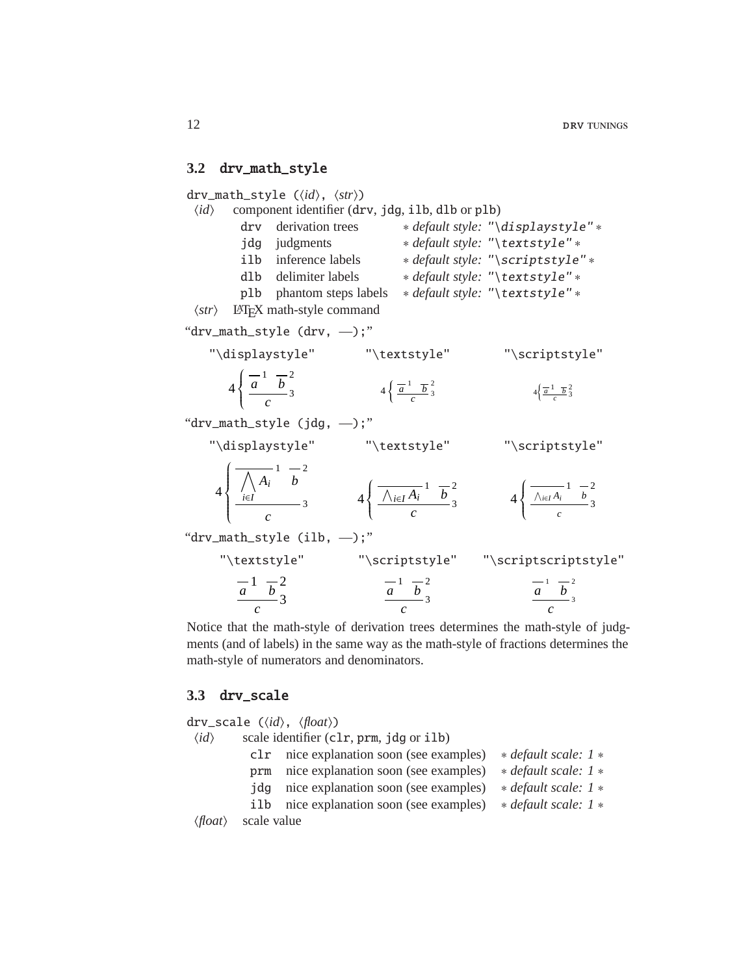#### <span id="page-11-0"></span>**3.2** drv\_math\_style

drv\_math\_style ( $\langle id \rangle$ ,  $\langle str \rangle$ )  $\langle id \rangle$  component identifier (drv, jdg, ilb, dlb or plb) drv derivation trees ∗ *default style:* "\displaystyle" ∗ jdg judgments ∗ *default style:* "\textstyle" ∗ ilb inference labels ∗ *default style:* "\scriptstyle" ∗ dlb delimiter labels ∗ *default style:* "\textstyle" ∗ plb phantom steps labels ∗ *default style:* "\textstyle" ∗  $\langle str \rangle$  LAT<sub>EX</sub> math-style command "drv\_math\_style (drv, —);" "\displaystyle" "\textstyle" "\scriptstyle"  $\frac{a}{a}$ <sup>1</sup>  $\frac{a}{b}$ <sup>2</sup> *c* 4  $\left\{ \right.$  $\begin{cases} \frac{a}{c} & b \\ \frac{a}{c} & \frac{b}{3} \end{cases}$  4  $\begin{cases} \frac{a}{a} & \frac{b}{b} \\ \frac{a}{c} & \frac{c}{3} \end{cases}$  $4\left\{\frac{\overline{a}^1}{\frac{b}{c}^2} \right\}$   $4\left\{\frac{\overline{a}^1}{\frac{b}{c}^2} \right\}$  $4\left\{\frac{\overline{a}^1}{c} \frac{\overline{b}^2}{3} \right\}$ "drv\_math\_style (jdg, —);" "\displaystyle" "\textstyle" "\scriptstyle"  $\wedge$ *i*∈*I Ai* 1 *b* 2 *c* 4  $\int$  $\begin{cases} \frac{1}{i\in I} & b \\ \frac{i\in I}{c} & 3 \end{cases}$   $4\left\{\frac{\lambda_{i\in I}A_i^{-1}}{c} \frac{b^2}{3}\right\}$ *c* 4  $\left\{\right.$  $\left\{\frac{\sqrt{i\epsilon I}A_i & b}{c}\right\}$  4  $\left\{\frac{\sqrt{i\epsilon I}A_i}{c}\right\}$ 1 *b* 2 *c* 4  $\left\{ \right.$  $\begin{array}{c}\n\sqrt{ac} & \cdots \\
\hline\nc & \end{array}$ "drv\_math\_style  $(ilb, -)$ ;" "\textstyle" "\scriptstyle" "\scriptscriptstyle"  $\frac{1}{a}$   $\frac{1}{b}$   $\frac{2}{a}$  $\frac{a}{c}$   $\frac{1}{c}$ <sub>2</sub>
<sub>3</sub>  $\frac{a}{c}$ <sub>2</sub>
<sub>3</sub>  $\frac{a}{c}$ <sup>1</sup>
<sub>2</sub>
<sub>3</sub>
<br> *a*<sub>*c*</sub>
<sub>3</sub>
<br> *c*  $\frac{c}{c}$ <sup>3</sup>

Notice that the math-style of derivation trees determines the math-style of judgments (and of labels) in the same way as the math-style of fractions determines the math-style of numerators and denominators.

#### <span id="page-11-1"></span>**3.3** drv\_scale

drv\_scale ( $\langle id \rangle$ ,  $\langle float \rangle$ )  $\langle id \rangle$  scale identifier (clr, prm, jdg or ilb) clr nice explanation soon (see examples) ∗ *default scale: 1* ∗ prm nice explanation soon (see examples) \* *default scale:* 1 \* jdg nice explanation soon (see examples) ∗ *default scale: 1* ∗ ilb nice explanation soon (see examples) ∗ *default scale: 1* ∗ h*float*i scale value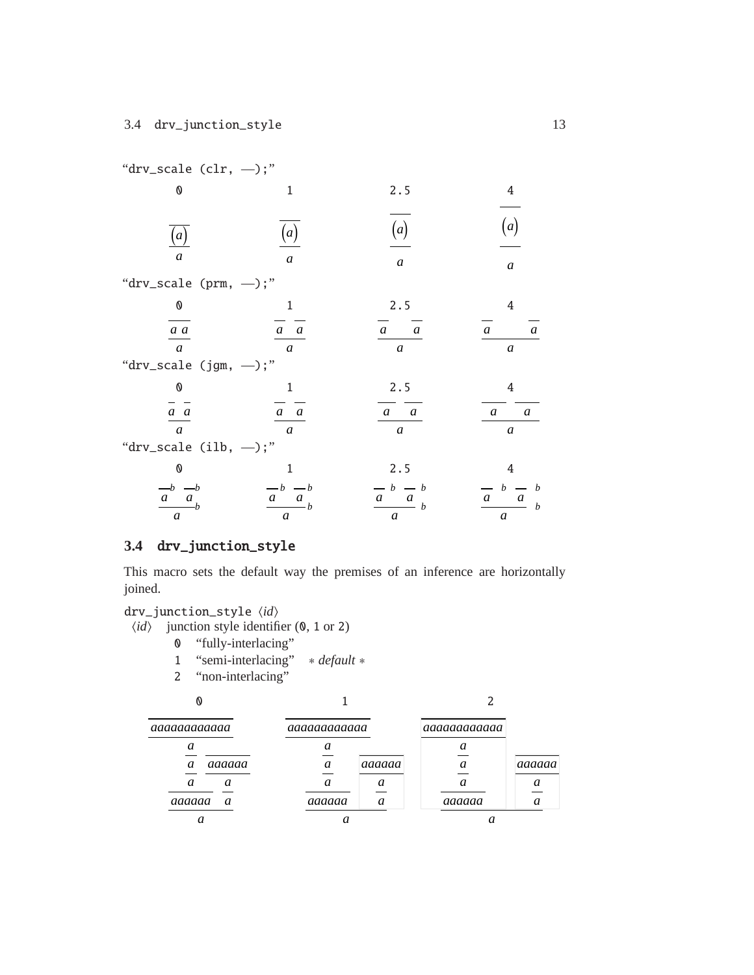| "drv_scale $(clr, - )$ ;"                                                   |                                                                                        |                                                                                             |                                                                     |
|-----------------------------------------------------------------------------|----------------------------------------------------------------------------------------|---------------------------------------------------------------------------------------------|---------------------------------------------------------------------|
| 0                                                                           | 1                                                                                      | 2.5                                                                                         | 4                                                                   |
| $\left(a\right)$<br>$\overline{a}$                                          | $\left(a\right)$<br>$\mathfrak a$                                                      | (a)<br>$\boldsymbol{a}$                                                                     | (a)<br>$\boldsymbol{a}$                                             |
| "drv_scale (prm, $-$ );"                                                    |                                                                                        |                                                                                             |                                                                     |
| ${\bf 0}$                                                                   | $\mathbf{1}$                                                                           | 2.5                                                                                         | 4                                                                   |
| $\frac{a}{a}$                                                               | $a \quad a$                                                                            | $a \quad a$                                                                                 | $\mathfrak{a}$<br>$\mathfrak{a}$                                    |
| $\boldsymbol{a}$<br>"drv_scale (jgm, $-$ );"                                | $\mathfrak{a}$                                                                         | $\boldsymbol{a}$                                                                            | $\boldsymbol{a}$                                                    |
| $\pmb{\mathbb{0}}$                                                          | 1                                                                                      | 2.5                                                                                         | 4                                                                   |
| $\frac{a}{a}$<br>$\mathfrak{a}$                                             | $a \quad a$<br>$\mathfrak{a}$                                                          | $a \quad a$<br>$\boldsymbol{a}$                                                             | $\overline{a}$<br>$\boldsymbol{a}$<br>$\boldsymbol{a}$              |
| "drv_scale $(ilb, -)$ ;"                                                    |                                                                                        |                                                                                             |                                                                     |
| 0                                                                           | $\mathbf{1}$                                                                           | 2.5                                                                                         | 4                                                                   |
| $\begin{array}{cc}\n-b & -b \\ a & a \\ b\n\end{array}$<br>$\boldsymbol{a}$ | $\begin{array}{c c} -b & -b \\ \hline a & a \\ \hline \end{array}$<br>$\boldsymbol{a}$ | $\begin{array}{c c}\n\hline\na & b & -b \\ \hline\na & b & \n\end{array}$<br>$\mathfrak{a}$ | $b - b$<br>$a_{\perp}$<br>$\boldsymbol{a}$<br>$\boldsymbol{b}$<br>a |

## <span id="page-12-0"></span>**3.4** drv\_junction\_style

This macro sets the default way the premises of an inference are horizontally joined.

drv\_junction\_style  $\langle id \rangle$ 

- $\langle id \rangle$  junction style identifier (0, 1 or 2)
	- 0 "fully-interlacing"
		- 1 "semi-interlacing" ∗ *default* ∗
		- 2 "non-interlacing"

0 1 2

| aaaaaaaaaaa           |        | aaaaaaaaaaa |        | aaaaaaaaaaa |        |
|-----------------------|--------|-------------|--------|-------------|--------|
| $\boldsymbol{a}$<br>a | aaaaaa | a<br>a      | aaaaaa |             | aaaaaa |
| а                     | a      | a           | a      |             |        |
| aaaaaa                | a      | aaaaaa      | a      | aaaaaa      |        |
|                       |        |             |        |             |        |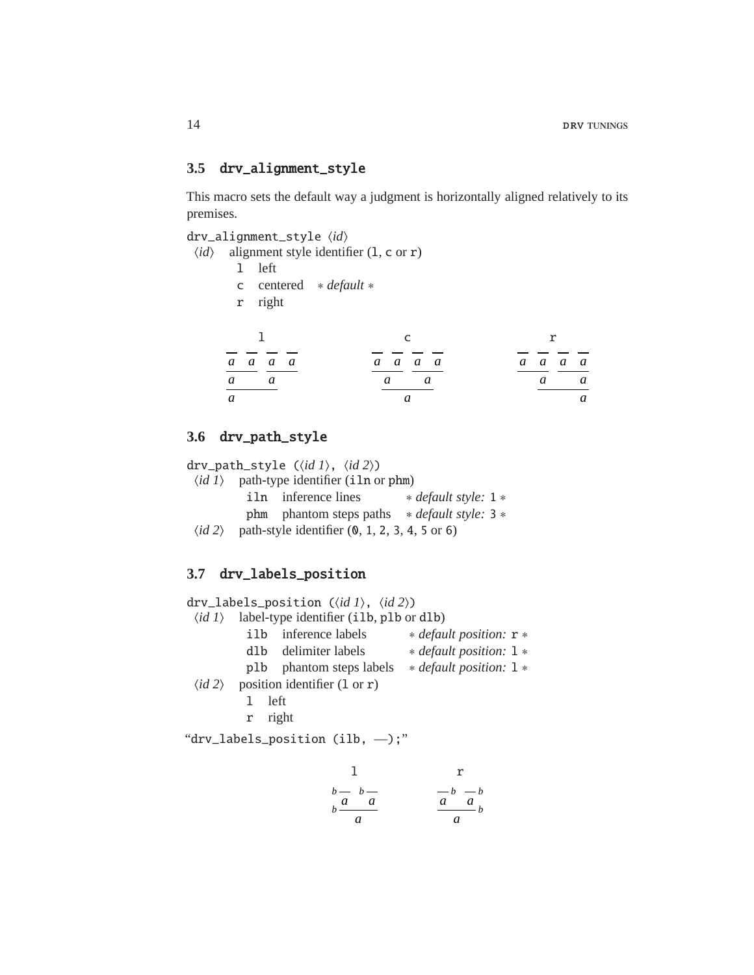#### <span id="page-13-0"></span>**3.5** drv\_alignment\_style

This macro sets the default way a judgment is horizontally aligned relatively to its premises.

drv\_alignment\_style h*id*i

- $\langle id \rangle$  alignment style identifier (1, c or r)
	- l left
	- c centered ∗ *default* ∗
	- r right

| 1       |  |              | r       |  |
|---------|--|--------------|---------|--|
| a a a a |  | a a a a      | a a a a |  |
| a a     |  | $a \qquad a$ | a a     |  |
| a       |  |              | a       |  |

#### <span id="page-13-1"></span>**3.6** drv\_path\_style

drv\_path\_style  $(\langle id \, 1 \rangle, \langle id \, 2 \rangle)$  $\langle id \, 1 \rangle$  path-type identifier (iln or phm) iln inference lines ∗ *default style:* 1 ∗ phm phantom steps paths ∗ *default style:* 3 ∗  $\langle id \, 2 \rangle$  path-style identifier  $(0, 1, 2, 3, 4, 5 \text{ or } 6)$ 

#### <span id="page-13-2"></span>**3.7** drv\_labels\_position

drv\_labels\_position ( $\langle id \, 1 \rangle$ ,  $\langle id \, 2 \rangle$ )  $\langle id \, 1 \rangle$  label-type identifier (ilb, plb or dlb) ilb inference labels ∗ *default position:* r ∗ dlb delimiter labels ∗ *default position:* l ∗ plb phantom steps labels ∗ *default position:* l ∗  $\langle id \, 2 \rangle$  position identifier (1 or r) l left r right "drv\_labels\_position (ilb, —);"

$$
\begin{array}{ccc}\n & 1 & & r \\
 & b - b - a & & -b - b \\
 b & a & a & a \\
\hline\n & a & a & a\n\end{array}
$$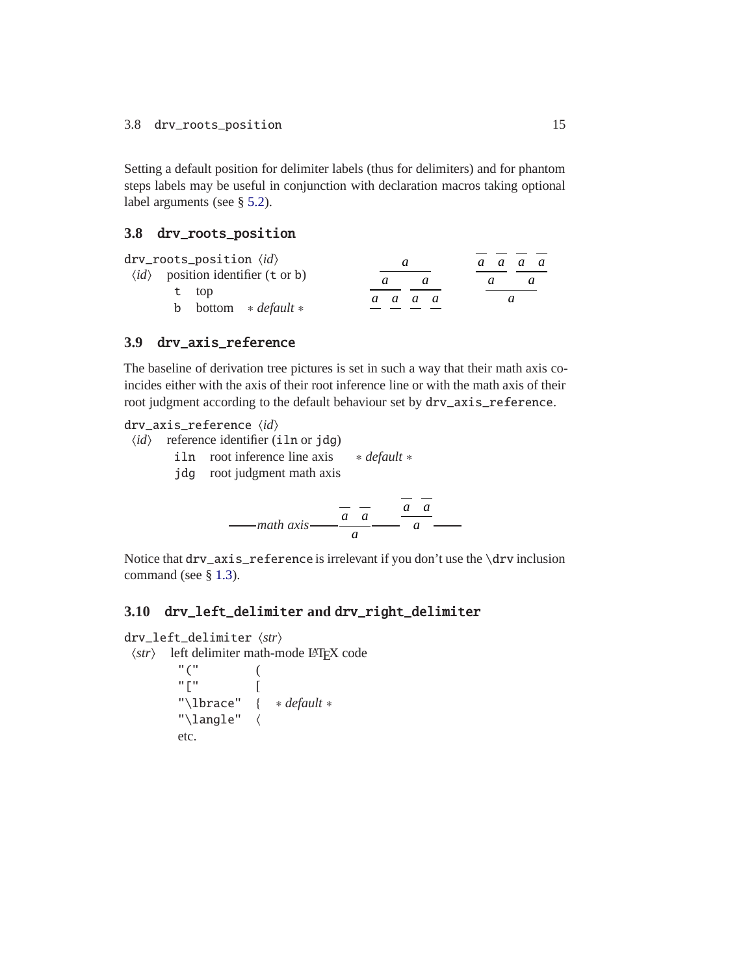Setting a default position for delimiter labels (thus for delimiters) and for phantom steps labels may be useful in conjunction with declaration macros taking optional label arguments (see § [5.2\)](#page-21-0).

#### <span id="page-14-0"></span>**3.8** drv\_roots\_position

| drv_roots_position $\langle \mathit{id} \rangle$           | a       |   | a a a a |
|------------------------------------------------------------|---------|---|---------|
| $\langle id \rangle$ position identifier (t or b)<br>t top |         | a |         |
| <b>b</b> bottom $\ast$ <i>default</i> $\ast$               | a a a a |   |         |

#### <span id="page-14-1"></span>**3.9** drv\_axis\_reference

The baseline of derivation tree pictures is set in such a way that their math axis coincides either with the axis of their root inference line or with the math axis of their root judgment according to the default behaviour set by drv\_axis\_reference.

drv\_axis\_reference  $\langle id \rangle$ 

- $\langle id \rangle$  reference identifier (iln or jdg)
	- iln root inference line axis ∗ *default* ∗ jdg root judgment math axis

$$
-mathmath>
$$

Notice that drv\_axis\_reference is irrelevant if you don't use the \drv inclusion command (see § [1.3\)](#page-3-0).

*a*

#### <span id="page-14-2"></span>**3.10** drv\_left\_delimiter **and** drv\_right\_delimiter

```
drv_left_delimiter hstri
```

```
hstri left delimiter math-mode LATEX code
```

```
"(" (
"[" ["\lbrace" { ∗ default ∗
"\langlelangle" \langleetc.
```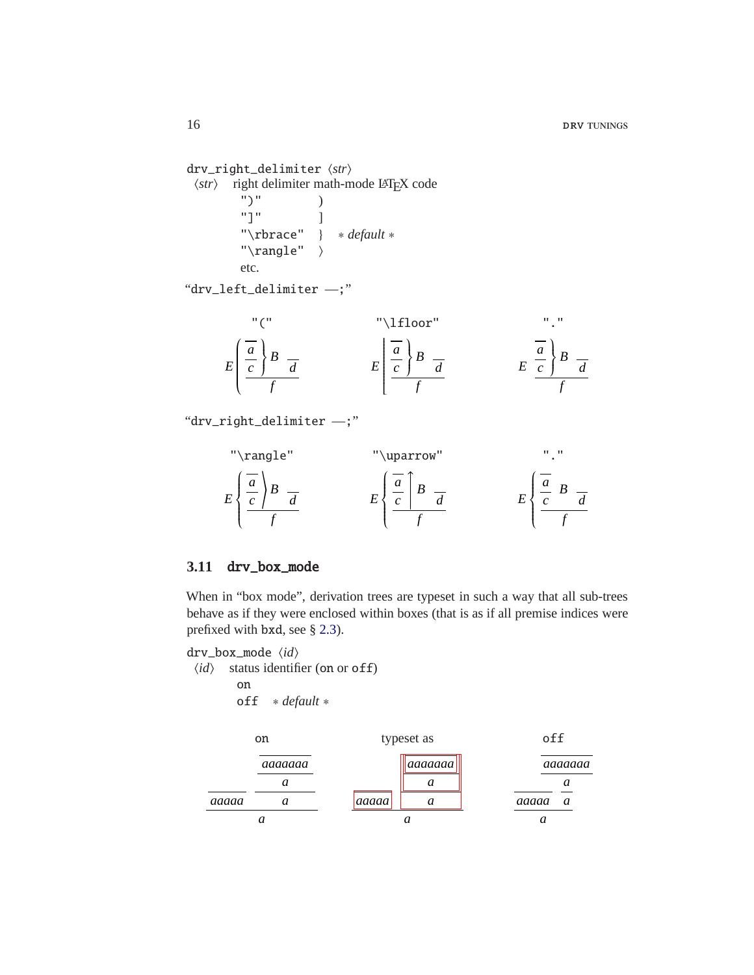drv\_right\_delimiter  $\langle str \rangle$ h*str*i right delimiter math-mode LATEX code ")" ) "]" ] "\rbrace" } ∗ *default* ∗ " $\langle \rangle$ rangle"  $\rangle$ etc.

"drv\_left\_delimiter —;"

$$
E\left(\frac{\frac{a}{c}}{f}\right)B = E\left[\frac{\frac{a}{a}}{f}\right)B = E\left[\frac{\frac{a}{c}}{f}\right)B = E\left[\frac{\frac{a}{c}}{f}\right]B = E\left[\frac{\frac{a}{c}}{f}\right]B = E\left[\frac{\frac{a}{c}}{f}\right]B = E\left[\frac{\frac{a}{c}}{f}\right]B = E\left[\frac{\frac{a}{c}}{f}\right]B = E\left[\frac{\frac{a}{c}}{f}\right]B = E\left[\frac{\frac{a}{c}}{f}\right]B = E\left[\frac{\frac{a}{c}}{f}\right]B = E\left[\frac{\frac{a}{c}}{f}\right]B = E\left[\frac{\frac{a}{c}}{f}\right]B = E\left[\frac{\frac{a}{c}}{f}\right]B = E\left[\frac{\frac{a}{c}}{f}\right]B = E\left[\frac{\frac{a}{c}}{f}\right]B = E\left[\frac{\frac{a}{c}}{f}\right]B = E\left[\frac{\frac{a}{c}}{f}\right]B = E\left[\frac{\frac{a}{c}}{f}\right]B = E\left[\frac{\frac{a}{c}}{f}\right]B = E\left[\frac{\frac{a}{c}}{f}\right]B = E\left[\frac{\frac{a}{c}}{f}\right]B = E\left[\frac{\frac{a}{c}}{f}\right]B = E\left[\frac{\frac{a}{c}}{f}\right]B = E\left[\frac{\frac{a}{c}}{f}\right]B = E\left[\frac{\frac{a}{c}}{f}\right]B = E\left[\frac{\frac{a}{c}}{f}\right]B = E\left[\frac{\frac{a}{c}}{f}\right]B = E\left[\frac{\frac{a}{c}}{f}\right]B = E\left[\frac{\frac{a}{c}}{f}\right]B = E\left[\frac{\frac{a}{c}}{f}\right]B = E\left[\frac{\frac{a}{c}}{f}\right]B = E\left[\frac{\frac{a}{c}}{f}\right]B = E\left[\frac{\frac{a}{c}}{f}\right]B = E\left[\frac{\frac{a}{c}}{f}\right]B = E\left[\frac{\frac{a}{c}}{f}\right]B = E\left[\frac{\frac{a}{c}}{f}\right]B = E\left[\frac{\frac{a}{c}}{f}\right]B = E\left[\frac{\frac{a}{c}}{f}\right]B = E\left[\frac{\frac{a}{c}}{f}\right]B
$$

"drv\_right\_delimiter —;"

"\n
$$
\text{range}^n
$$
\n"\n $E\left\{\n\begin{array}{c}\n\overline{a} \\
\overline{c}\n\end{array}\n\right\} \quad\nE\left\{\n\begin{array}{c}\n\overline{a} \\
\overline{c}\n\end{array}\n\right\} \quad\nE\left\{\n\begin{array}{c}\n\overline{a} \\
\overline{c}\n\end{array}\n\right\} \quad\nE\left\{\n\begin{array}{c}\n\overline{a} \\
\overline{c}\n\end{array}\n\right\} \quad\nE\left\{\n\begin{array}{c}\n\overline{a} \\
\overline{c}\n\end{array}\n\right\}$ 

#### <span id="page-15-0"></span>**3.11** drv\_box\_mode

When in "box mode", derivation trees are typeset in such a way that all sub-trees behave as if they were enclosed within boxes (that is as if all premise indices were prefixed with bxd, see § [2.3\)](#page-7-0).

drv\_box\_mode  $\langle id \rangle$ 

 $\langle id \rangle$  status identifier (on or off) on off ∗ *default* ∗

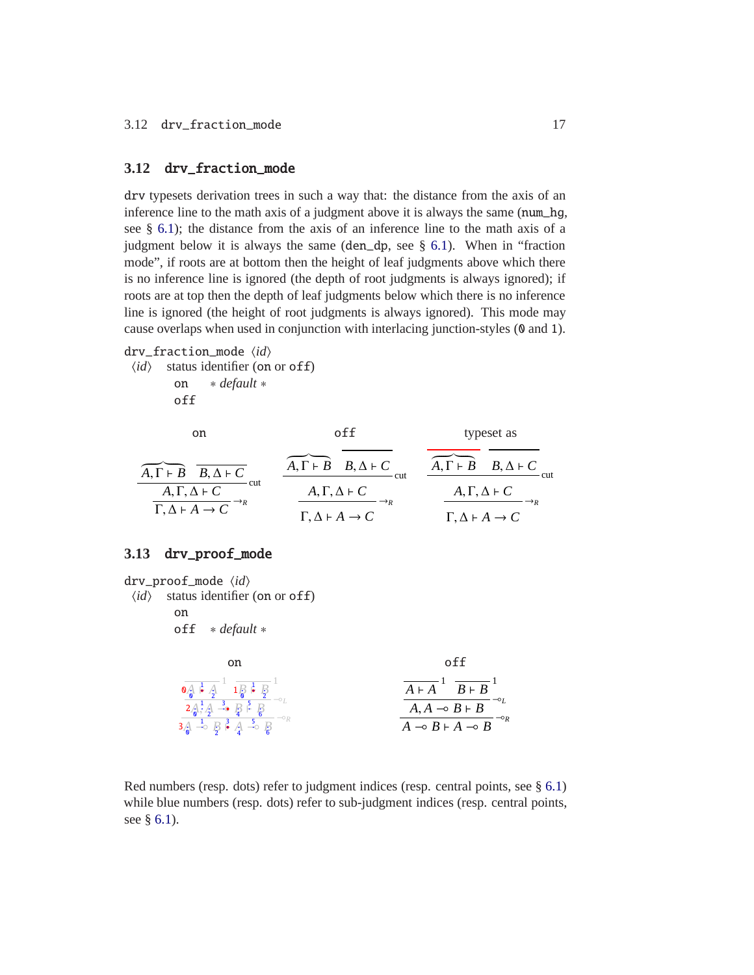#### <span id="page-16-0"></span>**3.12** drv\_fraction\_mode

drv typesets derivation trees in such a way that: the distance from the axis of an inference line to the math axis of a judgment above it is always the same (num\_hg, see § [6.1\)](#page-23-1); the distance from the axis of an inference line to the math axis of a judgment below it is always the same (den\_dp, see § [6.1\)](#page-23-1). When in "fraction mode", if roots are at bottom then the height of leaf judgments above which there is no inference line is ignored (the depth of root judgments is always ignored); if roots are at top then the depth of leaf judgments below which there is no inference line is ignored (the height of root judgments is always ignored). This mode may cause overlaps when used in conjunction with interlacing junction-styles (0 and 1).

#### drv\_fraction\_mode  $\langle id \rangle$

 $\langle id \rangle$  status identifier (on or off) on ∗ *default* ∗ off

| on                                            |                                                        | typeset as                                    |
|-----------------------------------------------|--------------------------------------------------------|-----------------------------------------------|
| $A, \Gamma \vdash B \quad B, \Delta \vdash C$ | $A, \Gamma \vdash B \quad B, \Delta \vdash C$<br>- cut | $A, \Gamma \vdash B \quad B, \Delta \vdash C$ |
| – cut<br>$A, \Gamma, \Delta \vdash C$         | $A, \Gamma, \Delta \vdash C$                           | $A, \Gamma, \Delta \vdash C$                  |
| $\Gamma, \Delta \vdash A \rightarrow C$       | $\Gamma, \Delta \vdash A \rightarrow C$                | $\Gamma, \Delta \vdash A \rightarrow C$       |

#### <span id="page-16-1"></span>**3.13** drv\_proof\_mode

drv\_proof\_mode  $\langle id \rangle$  $\langle id \rangle$  status identifier (on or off) on off ∗ *default* ∗ on off  $\frac{A}{\mathbf{A}}$   $\mathbf{A}$   $\mathbf{A}$   $\mathbf{B}$   $\mathbf{B}$   $\mathbf{B}$  $A_0^1$ ,  $A_1^2$  ⇒ **B**  $B_1^5$   $B_2^0$  ⇒  $B_1$  $\frac{1}{2}$  →  $\frac{1}{2}$   $\frac{3}{4}$  →  $\frac{5}{6}$ ⊸*<sup>R</sup>*  $\mathbf{0}_{\bullet}$ 1  $\frac{1}{2}$   $1\frac{1}{0}$ 1 2  $2/2$ 1 2 3 4 5 6 1 2 3 4 5 6  $\overline{A \vdash A}^1$   $\overline{B \vdash B}^1$  $\overline{A, A} \multimap B \vdash B$ ⊸*<sup>L</sup>*  $\overline{\rightarrow}$  *B* ⊢ *A* → *B* ⊸*<sup>R</sup>*

Red numbers (resp. dots) refer to judgment indices (resp. central points, see § [6.1\)](#page-23-1) while blue numbers (resp. dots) refer to sub-judgment indices (resp. central points, see § [6.1\)](#page-23-1).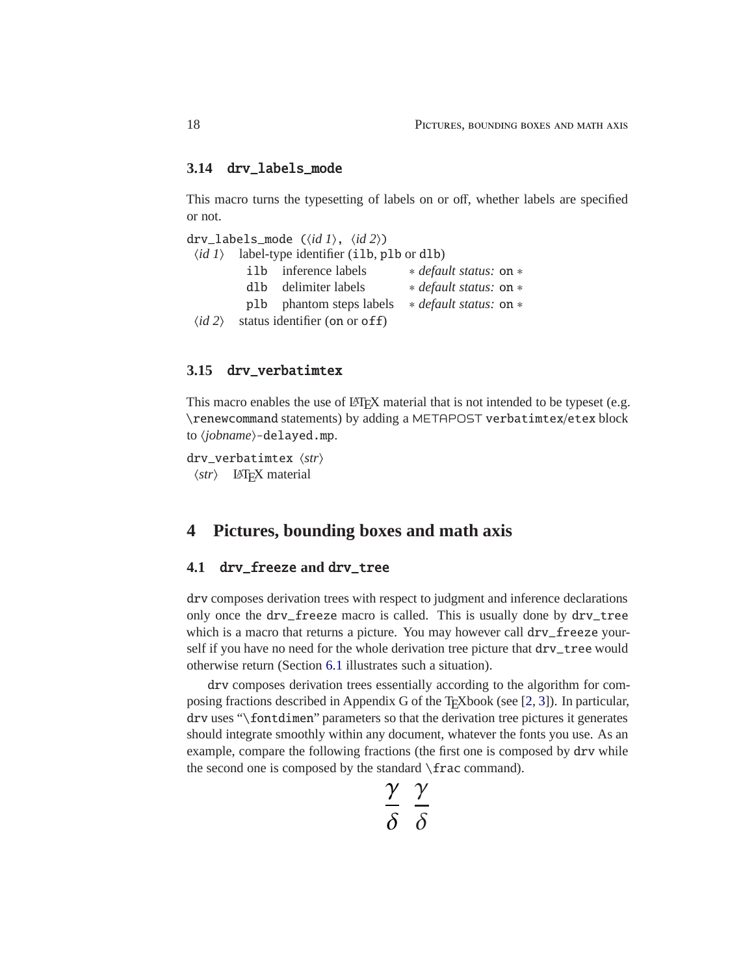#### <span id="page-17-0"></span>**3.14** drv\_labels\_mode

This macro turns the typesetting of labels on or off, whether labels are specified or not.

|                           |       | drv_labels_mode $(\langle id \, I \rangle, \langle id \, 2 \rangle)$ |                        |
|---------------------------|-------|----------------------------------------------------------------------|------------------------|
|                           |       | $\langle id \, I \rangle$ label-type identifier (ilb, plb or dlb)    |                        |
|                           | i lb. | inference labels                                                     | * default status: on * |
|                           | d1b.  | delimiter labels                                                     | * default status: on * |
|                           |       | plb phantom steps labels                                             | * default status: on * |
| $\langle id \, 2 \rangle$ |       | status identifier (on or off)                                        |                        |

#### <span id="page-17-1"></span>**3.15** drv\_verbatimtex

This macro enables the use of LAT<sub>EX</sub> material that is not intended to be typeset (e.g. \renewcommand statements) by adding a METAPOST verbatimtex/etex block to  $\langle jobname \rangle$ -delayed.mp.

drv\_verbatimtex  $\langle str \rangle$  $\langle str \rangle$  LAT<sub>E</sub>X material

## <span id="page-17-2"></span>**4 Pictures, bounding boxes and math axis**

#### <span id="page-17-3"></span>**4.1** drv\_freeze **and** drv\_tree

drv composes derivation trees with respect to judgment and inference declarations only once the drv\_freeze macro is called. This is usually done by drv\_tree which is a macro that returns a picture. You may however call drv\_freeze yourself if you have no need for the whole derivation tree picture that drv\_tree would otherwise return (Section [6.1](#page-23-1) illustrates such a situation).

drv composes derivation trees essentially according to the algorithm for composing fractions described in Appendix G of the T<sub>E</sub>Xbook (see  $[2, 3]$  $[2, 3]$ ). In particular, drv uses "\fontdimen" parameters so that the derivation tree pictures it generates should integrate smoothly within any document, whatever the fonts you use. As an example, compare the following fractions (the first one is composed by drv while the second one is composed by the standard \frac command).

$$
\frac{\gamma}{\delta} \frac{\gamma}{\delta}
$$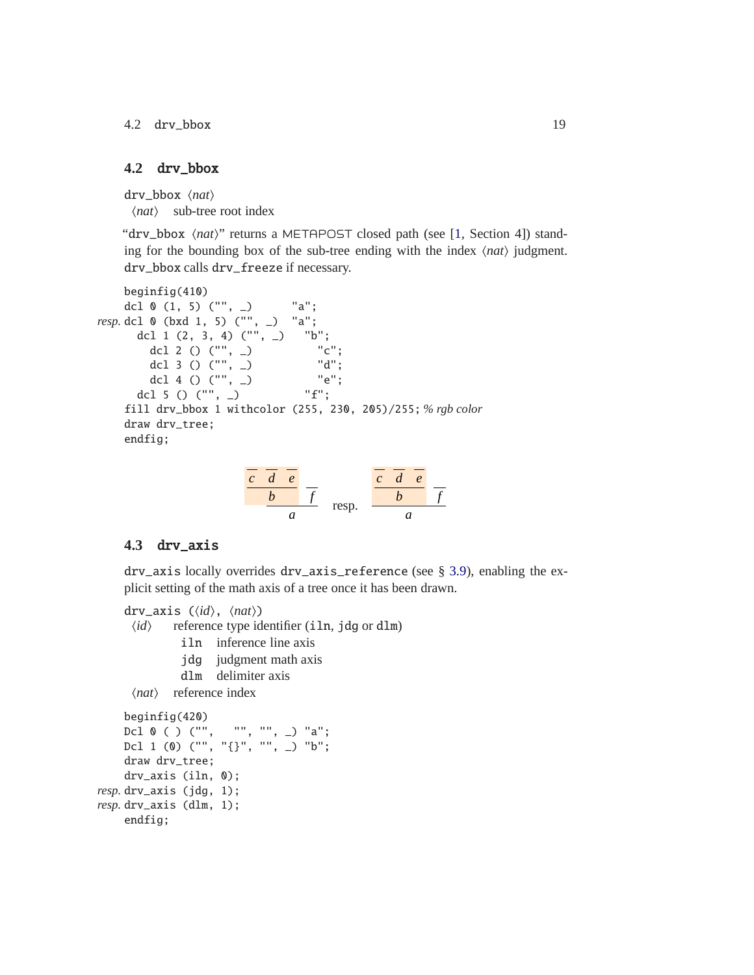4.2 drv\_bbox 19

#### <span id="page-18-0"></span>**4.2** drv\_bbox

drv\_bbox  $\langle nat\rangle$  $\langle nat \rangle$  sub-tree root index

"drv\_bbox  $\langle nat \rangle$ " returns a METAPOST closed path (see [\[1,](#page-27-3) Section 4]) standing for the bounding box of the sub-tree ending with the index  $\langle nat \rangle$  judgment. drv\_bbox calls drv\_freeze if necessary.

```
beginfig(410)
   dcl 0 (1, 5) ("", -) "a";
resp. dcl 0 (bxd 1, 5) ("", _) "a";
     dcl 1 (2, 3, 4) ("", _) "b";
       dcl 2 () ("", _) "c";
       dcl 3 () ("", _) "d";
       dcl 4 () ("", _) "e";
     dcl 5 () ("", _{\_}) "f";
   fill drv_bbox 1 withcolor (255, 230, 205)/255; % rgb color
   draw drv_tree;
   endfig;
```

| $\mathcal{C}$ | $\mathcal{C}$ |       | $\mathcal{C}$ | d. | $\mathcal{C}$ |  |
|---------------|---------------|-------|---------------|----|---------------|--|
|               |               |       |               |    |               |  |
|               |               | resp. |               |    |               |  |

#### <span id="page-18-1"></span>**4.3** drv\_axis

drv\_axis locally overrides drv\_axis\_reference (see § [3.9\)](#page-14-1), enabling the explicit setting of the math axis of a tree once it has been drawn.

```
drv_axis (\langle id \rangle, \langle nat \rangle)\langle id \rangle reference type identifier (iln, jdg or dlm)
                iln inference line axis
                jdg judgment math axis
                dlm delimiter axis
      \langle nat \rangle reference index
     beginfig(420)
     Dcl 0 ( ) ("", "", "", _) "a";
     Dcl 1 (0) ("", "{}", "", _) "b";
     draw drv_tree;
     drv_axis (iln, 0);
resp. drv_axis (jdg, 1);
resp. drv_axis (dlm, 1);
    endfig;
```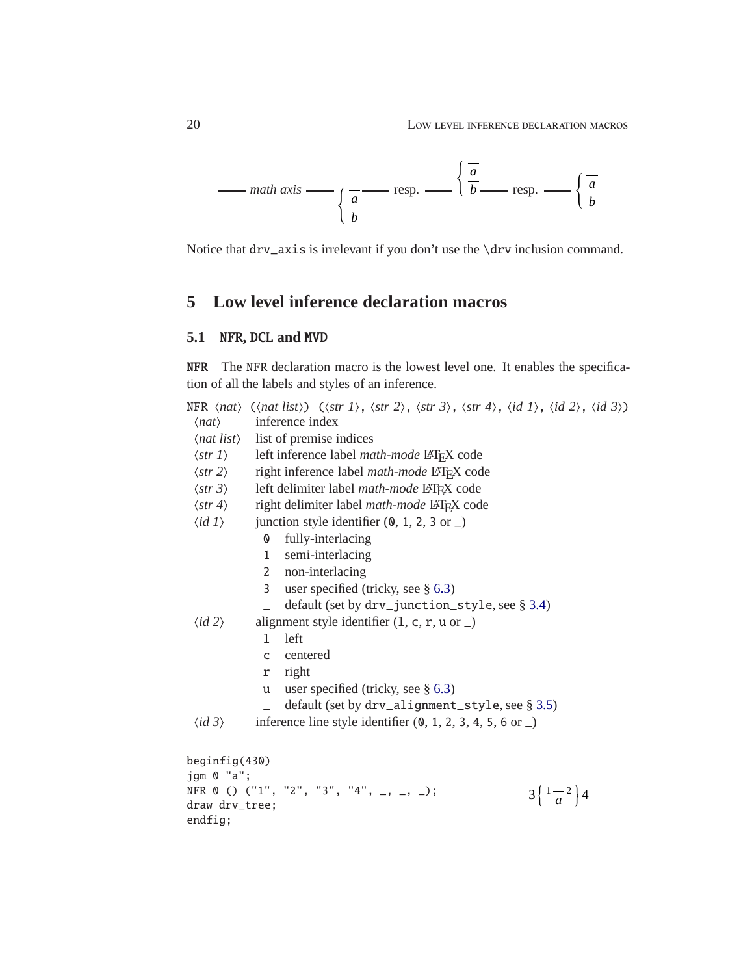

Notice that drv\_axis is irrelevant if you don't use the \drv inclusion command.

## <span id="page-19-1"></span><span id="page-19-0"></span>**5 Low level inference declaration macros**

#### **5.1** NFR**,** DCL **and** MVD

NFR The NFR declaration macro is the lowest level one. It enables the specification of all the labels and styles of an inference.

|                           |                | NFR $\langle$ <i>nat</i> $\rangle$ ( $\langle$ <i>nat list</i> $\rangle$ ) ( $\langle$ <i>str 1</i> $\rangle$ , $\langle$ <i>str 2</i> $\rangle$ , $\langle$ <i>str 3</i> $\rangle$ , $\langle$ <i>id 1</i> $\rangle$ , $\langle$ <i>id 2</i> $\rangle$ , $\langle$ <i>id 3</i> $\rangle$ ) |                                    |
|---------------------------|----------------|---------------------------------------------------------------------------------------------------------------------------------------------------------------------------------------------------------------------------------------------------------------------------------------------|------------------------------------|
| $\langle nat\rangle$      |                | inference index                                                                                                                                                                                                                                                                             |                                    |
|                           |                | $\langle nat\; list \rangle$ list of premise indices                                                                                                                                                                                                                                        |                                    |
| $\langle$ str 1 $\rangle$ |                | left inference label math-mode LATFX code                                                                                                                                                                                                                                                   |                                    |
| $\langle str 2 \rangle$   |                | right inference label <i>math-mode</i> LAT <sub>F</sub> X code                                                                                                                                                                                                                              |                                    |
| $\langle str 3 \rangle$   |                | left delimiter label math-mode LATFX code                                                                                                                                                                                                                                                   |                                    |
| $\langle$ str 4 $\rangle$ |                | right delimiter label <i>math-mode</i> LATFX code                                                                                                                                                                                                                                           |                                    |
| $\langle id \, I \rangle$ |                | junction style identifier $(0, 1, 2, 3 \text{ or } \_)$                                                                                                                                                                                                                                     |                                    |
|                           | 0              | fully-interlacing                                                                                                                                                                                                                                                                           |                                    |
|                           | $\mathbf{1}$   | semi-interlacing                                                                                                                                                                                                                                                                            |                                    |
|                           | $\mathbf{2}$   | non-interlacing                                                                                                                                                                                                                                                                             |                                    |
|                           | $\overline{3}$ | user specified (tricky, see § 6.3)                                                                                                                                                                                                                                                          |                                    |
|                           |                | default (set by drv_junction_style, see § 3.4)                                                                                                                                                                                                                                              |                                    |
| $\langle id \, 2 \rangle$ |                | alignment style identifier $(1, c, r, u \text{ or } )$                                                                                                                                                                                                                                      |                                    |
|                           | 1              | left                                                                                                                                                                                                                                                                                        |                                    |
|                           | $\mathsf{C}$   | centered                                                                                                                                                                                                                                                                                    |                                    |
|                           | r              | right                                                                                                                                                                                                                                                                                       |                                    |
|                           | u              | user specified (tricky, see $\S$ 6.3)                                                                                                                                                                                                                                                       |                                    |
|                           |                | default (set by drv_alignment_style, see § 3.5)                                                                                                                                                                                                                                             |                                    |
| $\langle id \, 3 \rangle$ |                | inference line style identifier $(0, 1, 2, 3, 4, 5, 6$ or $\Box$                                                                                                                                                                                                                            |                                    |
| begining(430)             |                |                                                                                                                                                                                                                                                                                             |                                    |
| jgm 0 "a";                |                |                                                                                                                                                                                                                                                                                             |                                    |
|                           |                | NFR 0 () ("1", "2", "3", "4", _, _, _);                                                                                                                                                                                                                                                     | $3\left\{\frac{1}{a}^{2}\right\}4$ |
| draw drv_tree;            |                |                                                                                                                                                                                                                                                                                             |                                    |
| endfig;                   |                |                                                                                                                                                                                                                                                                                             |                                    |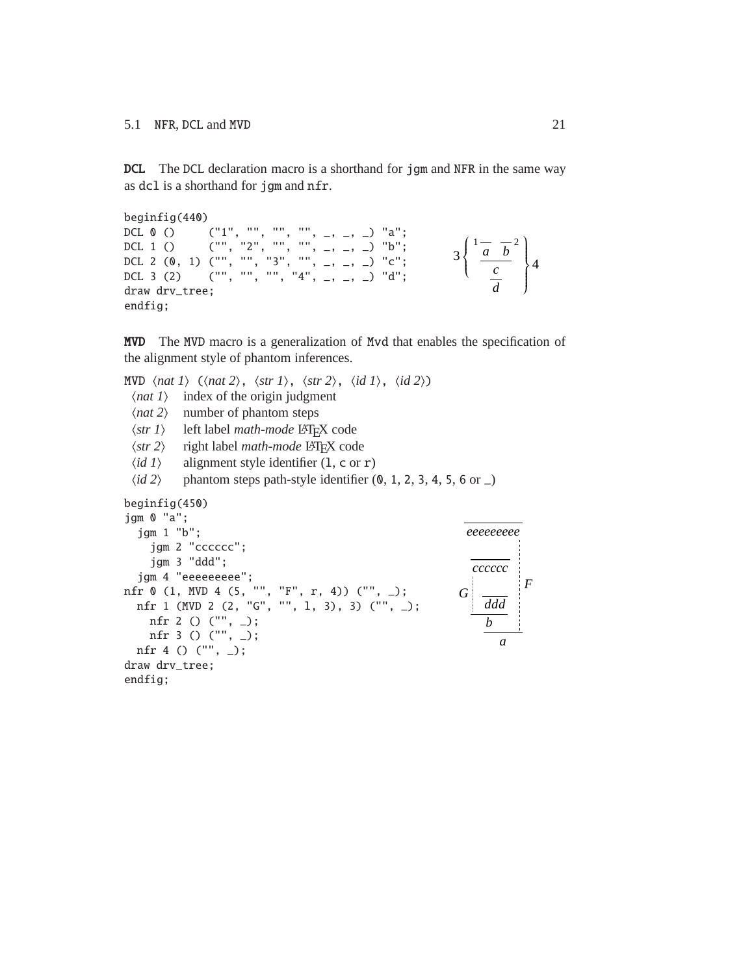DCL The DCL declaration macro is a shorthand for jgm and NFR in the same way as dcl is a shorthand for jgm and nfr.

```
beginfig(440)
DCL 0 () ('1", "", "", "", ..., ... ) 'a";DCL 1 () ("", "2", "", "", _, _, _) "b";
DCL 2 (0, 1) ("", "", "3", "", _, _, _) "c";
DCL 3 (2) ("", "", "", "4", _, _, _) "d";
draw drv_tree;
endfig;
                                                                                   \frac{1}{a}
\frac{1}{b}<sup>2</sup>
                                                                                        c
                                                                              3
                                                                                \left\{ \right.\overline{\mathcal{L}}d
                                                                                                 4
                                                                                               \begin{array}{c} \begin{array}{c} \end{array} \end{array}\int
```
MVD The MVD macro is a generalization of Mvd that enables the specification of the alignment style of phantom inferences.

MVD  $\langle$ *nat 1* $\rangle$  ( $\langle$ *nat 2* $\rangle$ ,  $\langle$ *str 1* $\rangle$ ,  $\langle$ *str 2* $\rangle$ ,  $\langle$ *id 1* $\rangle$ ,  $\langle$ *id 2* $\rangle$ )  $\langle$ *nat 1* $\rangle$  index of the origin judgment  $\langle nat 2\rangle$  number of phantom steps  $\langle str 1 \rangle$  left label *math-mode* LAT<sub>E</sub>X code<br> $\langle str 2 \rangle$  right label *math-mode* LAT<sub>E</sub>X cod  $\langle str 2 \rangle$  right label *math-mode* LATEX code<br> $\langle id 1 \rangle$  alignment style identifier (1, c or alignment style identifier  $(1, c \text{ or } r)$  $\langle id \, 2 \rangle$  phantom steps path-style identifier  $(0, 1, 2, 3, 4, 5, 6 \text{ or } \_)$ beginfig(450) jgm 0 "a"; jgm 1 "b"; jgm 2 "cccccc"; jgm 3 "ddd"; jgm 4 "eeeeeeeee"; nfr 0 (1, MVD 4 (5, "", "F", r, 4)) ("", \_); nfr 1 (MVD 2 (2, "G", "", l, 3), 3) ("", \_); nfr 2 () ("", \_); nfr 3 () ("", \_); nfr 4 () ("", \_); draw drv\_tree; endfig; *cccccc G ddd b eeeeeeeee a*

*F*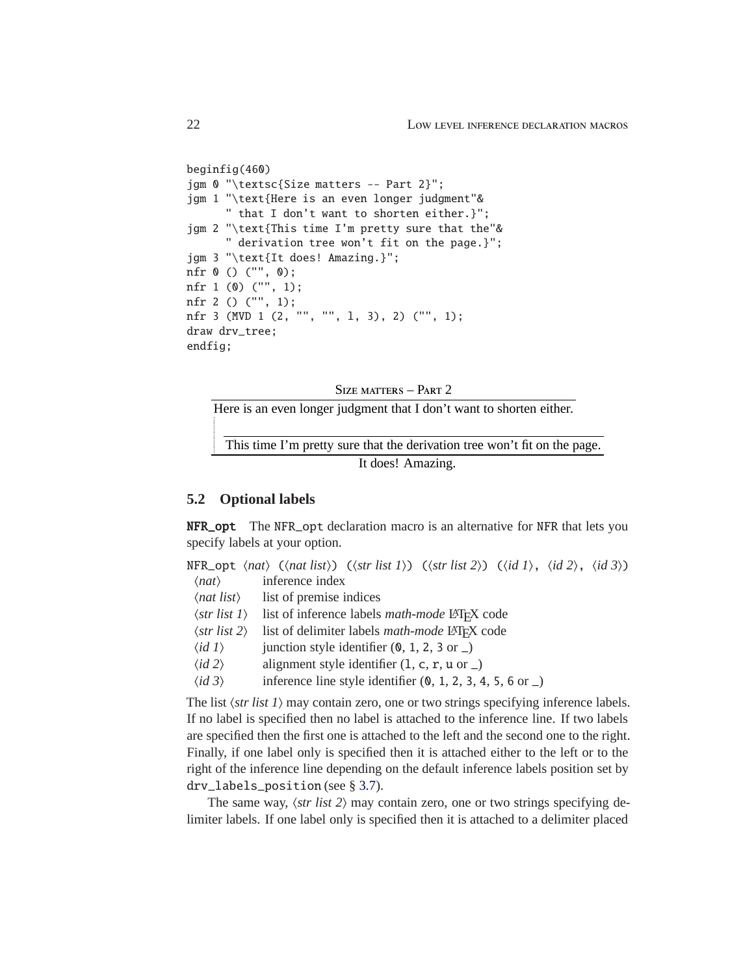```
beginfig(460)
jgm 0 "\textsc{Size matters -- Part 2}";
jgm 1 "\text{Here is an even longer judgment"&
      " that I don't want to shorten either.}";
jgm 2 "\text{This time I'm pretty sure that the"&
      " derivation tree won't fit on the page.}";
jgm 3 "\text{It does! Amazing.}";
nfr 0 () ("", 0);
nfr 1 (0) ("", 1);
nfr 2 () ("", 1);
nfr 3 (MVD 1 (2, "", "", l, 3), 2) ("", 1);
draw drv_tree;
endfig;
```
SIZE MATTERS - PART 2

Here is an even longer judgment that I don't want to shorten either.

This time I'm pretty sure that the derivation tree won't fit on the page. It does! Amazing.

#### <span id="page-21-0"></span>**5.2 Optional labels**

NFR\_opt The NFR\_opt declaration macro is an alternative for NFR that lets you specify labels at your option.

|                      | NFR_opt $\langle$ nat $\rangle$ ( $\langle$ nat list $\rangle$ ) ( $\langle$ str list 1 $\rangle$ ) ( $\langle$ str list 2 $\rangle$ ) ( $\langle$ id 1 $\rangle$ , $\langle$ id 2 $\rangle$ , $\langle$ id 3 $\rangle$ ) |  |  |  |
|----------------------|---------------------------------------------------------------------------------------------------------------------------------------------------------------------------------------------------------------------------|--|--|--|
| $\langle nat\rangle$ | inference index                                                                                                                                                                                                           |  |  |  |

- $\langle$ *nat list* $\rangle$  list of premise indices
- $\langle str \; list \; 1 \rangle$  list of inference labels *math-mode* LAT<sub>EX</sub> code
- h*str list 2*i list of delimiter labels *math-mode* LATEX code
- $\langle id \rangle$  junction style identifier  $(0, 1, 2, 3 \text{ or } \_)$
- $\langle id \, 2 \rangle$  alignment style identifier  $(1, c, r, u \text{ or } )$
- $\langle id \, 3 \rangle$  inference line style identifier  $(0, 1, 2, 3, 4, 5, 6 \text{ or } )$

The list  $\langle$ *str list 1* $\rangle$  may contain zero, one or two strings specifying inference labels. If no label is specified then no label is attached to the inference line. If two labels are specified then the first one is attached to the left and the second one to the right. Finally, if one label only is specified then it is attached either to the left or to the right of the inference line depending on the default inference labels position set by drv\_labels\_position (see § [3.7\)](#page-13-2).

The same way,  $\langle str \; list \; 2 \rangle$  may contain zero, one or two strings specifying delimiter labels. If one label only is specified then it is attached to a delimiter placed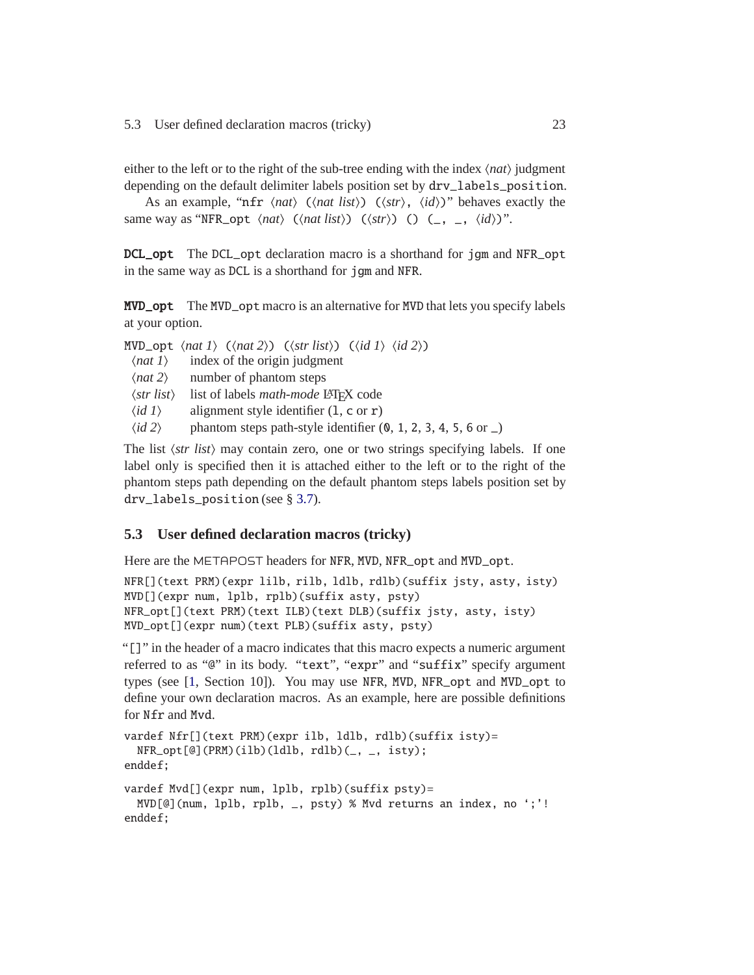either to the left or to the right of the sub-tree ending with the index  $\langle nat \rangle$  judgment depending on the default delimiter labels position set by drv\_labels\_position.

As an example, " $nfr \langle nat \rangle$  ( $\langle nat \; list \rangle$ ) ( $\langle str \rangle$ ,  $\langle id \rangle$ )" behaves exactly the same way as "NFR\_opt  $\langle nat \rangle$  ( $\langle nat list \rangle$ ) ( $\langle str \rangle$ ) () (\_, \_,  $\langle id \rangle$ )".

DCL\_opt The DCL\_opt declaration macro is a shorthand for jgm and NFR\_opt in the same way as DCL is a shorthand for jgm and NFR.

MVD\_opt The MVD\_opt macro is an alternative for MVD that lets you specify labels at your option.

|                                  | MVD_opt $\langle nat \rangle$ ( $\langle nat \rangle$ ) ( $\langle str \, list \rangle$ ) ( $\langle id \, 1 \rangle$ $\langle id \, 2 \rangle$ ) |
|----------------------------------|---------------------------------------------------------------------------------------------------------------------------------------------------|
| $\langle$ <i>nat</i> 1 $\rangle$ | index of the origin judgment                                                                                                                      |
| $\langle$ nat 2 $\rangle$        | number of phantom steps                                                                                                                           |
| $\langle$ str list $\rangle$     | list of labels <i>math-mode</i> LAT <sub>F</sub> X code                                                                                           |
| $\langle id \, I \rangle$        | alignment style identifier $(1, c \text{ or } r)$                                                                                                 |
| $\langle id \, 2 \rangle$        | phantom steps path-style identifier $(0, 1, 2, 3, 4, 5, 6 \text{ or } \_)$                                                                        |
|                                  |                                                                                                                                                   |

The list  $\langle str \; list \rangle$  may contain zero, one or two strings specifying labels. If one label only is specified then it is attached either to the left or to the right of the phantom steps path depending on the default phantom steps labels position set by drv\_labels\_position (see § [3.7\)](#page-13-2).

#### <span id="page-22-0"></span>**5.3 User defined declaration macros (tricky)**

Here are the METAPOST headers for NFR, MVD, NFR\_opt and MVD\_opt.

```
NFR[](text PRM)(expr lilb, rilb, ldlb, rdlb)(suffix jsty, asty, isty)
MVD[](expr num, lplb, rplb)(suffix asty, psty)
NFR_opt[](text PRM)(text ILB)(text DLB)(suffix jsty, asty, isty)
MVD_opt[](expr num)(text PLB)(suffix asty, psty)
```
"[]" in the header of a macro indicates that this macro expects a numeric argument referred to as "@" in its body. "text", "expr" and "suffix" specify argument types (see [\[1,](#page-27-3) Section 10]). You may use NFR, MVD, NFR\_opt and MVD\_opt to define your own declaration macros. As an example, here are possible definitions for Nfr and Mvd.

```
vardef Nfr[](text PRM)(expr ilb, ldlb, rdlb)(suffix isty)=
  NFR\_opt[@] (PRM)(ilb)(ldlb, rdlb)(_, -, isty);
enddef;
vardef Mvd[](expr num, lplb, rplb)(suffix psty)=
  MVD[@](num, lplb, rplb, _, psty) % Mvd returns an index, no ';'!
enddef;
```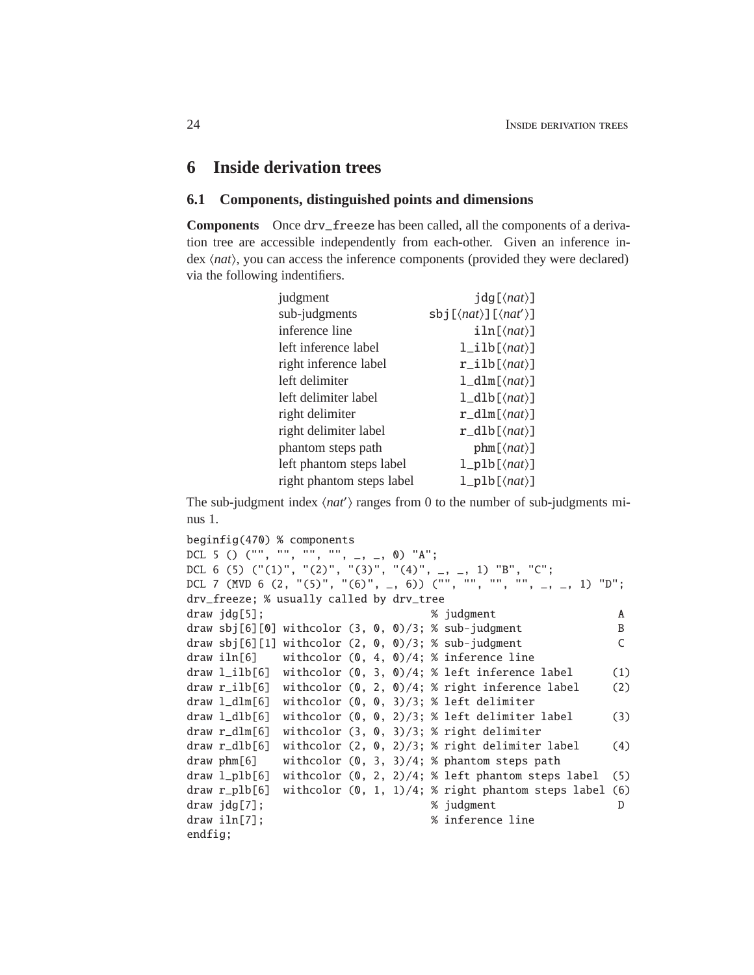#### <span id="page-23-1"></span><span id="page-23-0"></span>**6 Inside derivation trees**

#### **6.1 Components, distinguished points and dimensions**

**Components** Once drv\_freeze has been called, all the components of a derivation tree are accessible independently from each-other. Given an inference index  $\langle nat\rangle$ , you can access the inference components (provided they were declared) via the following indentifiers.

| judgment                  | $\text{idg}[\langle nat\rangle]$        |
|---------------------------|-----------------------------------------|
| sub-judgments             | $\text{sbj}[(\text{nat})][\text{nat}]\$ |
| inference line            | $iln[\langle nat\rangle]$               |
| left inference label      | $l$ _ilb[ $\langle nat \rangle$ ]       |
| right inference label     | $r_ilb[\langle nat\rangle]$             |
| left delimiter            | $l_dlm[\langle nat\rangle]$             |
| left delimiter label      | $1_d1b[\langle nat\rangle]$             |
| right delimiter           | $r_dlm[\langle nat\rangle]$             |
| right delimiter label     | $r_dlb[\langle nat\rangle]$             |
| phantom steps path        | $phm[\langle nat\rangle]$               |
| left phantom steps label  | $l$ _plb[ $\langle nat \rangle$ ]       |
| right phantom steps label | $l$ _plb[ $\langle nat \rangle$ ]       |

The sub-judgment index  $\langle nat' \rangle$  ranges from 0 to the number of sub-judgments minus 1.

```
beginfig(470) % components
DCL 5 () ("", "", "", "", _, _, 0) "A";
DCL 6 (5) (^{n}(1)^{n}, (^{n}(2)^{n}, (^{n}(3)^{n}, (^{n}(4)^{n}, _, _, 1) "B", "C";
DCL 7 (MVD 6 (2, "(5)", "(6)", -, 6))' ("", "", "", "", -, _, 1) "D";
drv_freeze; % usually called by drv_tree
draw jdg[5]; A metal and A metal and A metal and A metal and A metal and A metal and A metal A metal and A metal A
draw sbj[6][0] withcolor (3, 0, 0)/3; % sub-judgment B
draw sbj[6][1] withcolor (2, 0, 0)/3; % sub-judgment C
draw iln[6] withcolor (0, 4, 0)/4; % inference line
draw l<sub>1</sub>lb[6] withcolor (0, 3, 0)/4; % left inference label (1)
draw r_iilb[6] withcolor (0, 2, 0)/4; % right inference label (2)
draw l_dlm[6] withcolor (0, 0, 3)/3; % left delimiter
draw l_dlb[6] withcolor (0, 0, 2)/3; % left delimiter label (3)
draw r_dlm[6] withcolor (3, 0, 3)/3; % right delimiter
draw r_dlb[6] withcolor (2, 0, 2)/3; % right delimiter label (4)
draw phm[6] withcolor (0, 3, 3)/4; % phantom steps path
draw l_plb[6] withcolor (0, 2, 2)/4; % left phantom steps label (5)
draw r_plb[6] withcolor (0, 1, 1)/4; % right phantom steps label (6)
draw jdg[7]; % judgment D
draw iln[7]; \frac{1}{2} \frac{1}{2} \frac{1}{2} \frac{1}{2} \frac{1}{2} \frac{1}{2} \frac{1}{2} \frac{1}{2} \frac{1}{2} \frac{1}{2} \frac{1}{2} \frac{1}{2} \frac{1}{2} \frac{1}{2} \frac{1}{2} \frac{1}{2} \frac{1}{2} \frac{1}{2} \frac{1}{2} \frac{1}{2} \frac{1}{2}endfig;
```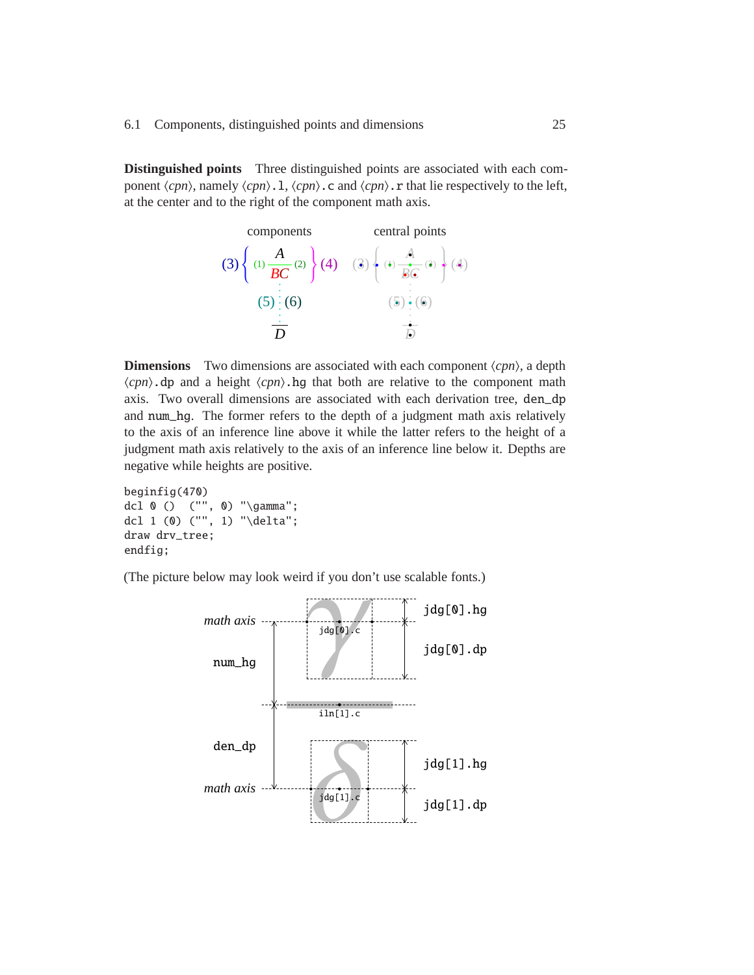**Distinguished points** Three distinguished points are associated with each component  $\langle cpn\rangle$ , namely  $\langle cpn\rangle$ . I,  $\langle cpn\rangle$ . c and  $\langle cpn\rangle$ . r that lie respectively to the left, at the center and to the right of the component math axis.



**Dimensions** Two dimensions are associated with each component  $\langle cpn \rangle$ , a depth  $\langle cpn\rangle$ .dp and a height  $\langle cpn\rangle$ .hg that both are relative to the component math axis. Two overall dimensions are associated with each derivation tree, den\_dp and num\_hg. The former refers to the depth of a judgment math axis relatively to the axis of an inference line above it while the latter refers to the height of a judgment math axis relatively to the axis of an inference line below it. Depths are negative while heights are positive.

```
beginfig(470)
dcl 0 () ("", 0) "\gamma";
dcl 1 (0) ("", 1) "\delta";
draw drv_tree;
endfig;
```
(The picture below may look weird if you don't use scalable fonts.)

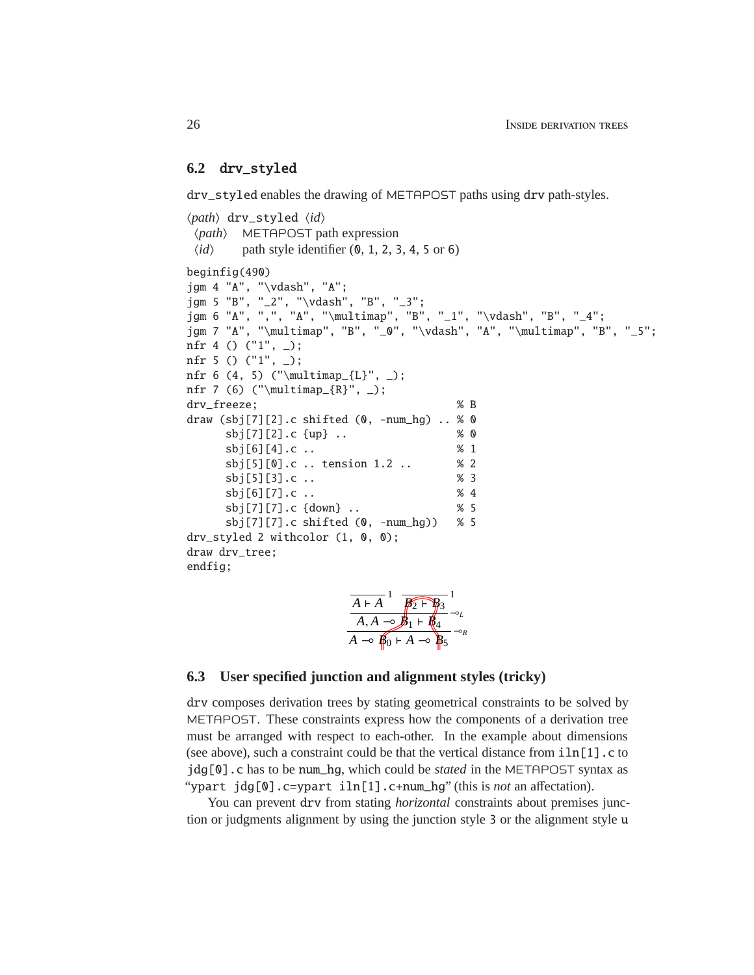#### <span id="page-25-0"></span>**6.2** drv\_styled

drv\_styled enables the drawing of METAPOST paths using drv path-styles.

```
\langle path \rangle drv_styled \langle id \ranglehpathi METAPOST path expression
 \langle id \rangle path style identifier (0, 1, 2, 3, 4, 5 \text{ or } 6)beginfig(490)
jgm 4 "A", "\vdash", "A";
jgm 5 "B", "_2", "\vdash", "B", "_3";
jgm 6 "A", ",", "A", "\multimap", "B", "_1", "\vdash", "B", "_4";
jgm 7 "A", "\multimap", "B", "_0", "\vdash", "A", "\multimap", "B", "_5";
nfr 4 () ("1", _);
nfr 5 () ('1", _-);
nfr 6 (4, 5) ("\multimap_{L}", _);
nfr 7 (6) ("\multimap_{R}", _);
drv_freeze; % B
draw (sbj[7][2].c shifted (0, -num_hg) .. % 0
     sbj[7][2].c {up} .. % 0
     sbj[6][4].c .. % 1
     sbj[5][0].c .. tension 1.2 .. % 2
     sbj[5][3].c .. % 3
     sbj[6][7].c .. % 4
     sbj[7][7].c {down} .. % 5
     sbj[7][7].c shifted (0, -num_hg)) % 5
drv_styled 2 withcolor (1, 0, 0);
draw drv_tree;
endfig;
                             1 \equiv 1
```

| $A \vdash A$                                        |                               |
|-----------------------------------------------------|-------------------------------|
| A, A<br>⊸                                           | $\mathbf{B}_1 + \mathbf{B}_4$ |
| $\mathbf{B}_0 \vdash A$<br>$\overline{\phantom{0}}$ | $\overline{\phantom{0}}$      |

#### <span id="page-25-1"></span>**6.3 User specified junction and alignment styles (tricky)**

drv composes derivation trees by stating geometrical constraints to be solved by METAPOST. These constraints express how the components of a derivation tree must be arranged with respect to each-other. In the example about dimensions (see above), such a constraint could be that the vertical distance from  $iln[1]$ .c to jdg[0].c has to be num\_hg, which could be *stated* in the METAPOST syntax as "ypart jdg[0].c=ypart iln[1].c+num\_hg" (this is *not* an affectation).

You can prevent drv from stating *horizontal* constraints about premises junction or judgments alignment by using the junction style 3 or the alignment style u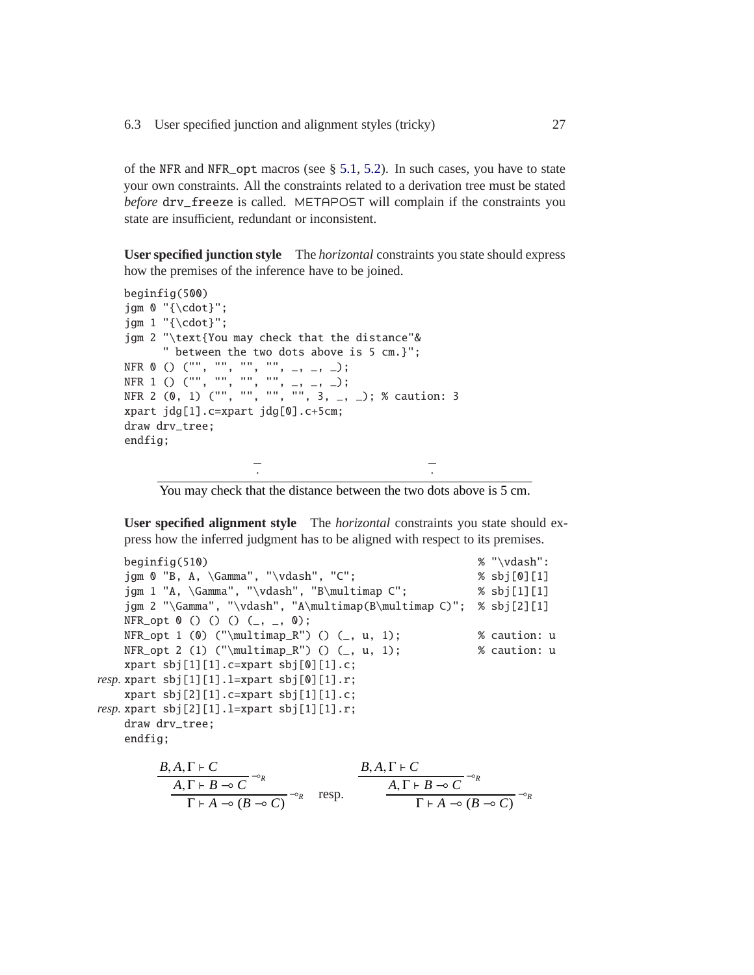of the NFR and NFR\_opt macros (see § [5.1,](#page-19-1) [5.2\)](#page-21-0). In such cases, you have to state your own constraints. All the constraints related to a derivation tree must be stated *before* drv\_freeze is called. METAPOST will complain if the constraints you state are insufficient, redundant or inconsistent.

**User specified junction style** The *horizontal* constraints you state should express how the premises of the inference have to be joined.

```
beginfig(500)
jgm 0 "{\cdot}";
jgm 1 "{\cdot}";
jgm 2 "\text{You may check that the distance"&
     " between the two dots above is 5 cm.}";
NFR 0 () ("", "", "", "", _, _, _);
NFR 1 () ("", "", "", "", _, _, _);
NFR 2 (0, 1) ("", "", "", "", 3, _, _); % caution: 3
xpart jdg[1].c=xpart jdg[0].c+5cm;
draw drv_tree;
endfig;
                   · ·
```
You may check that the distance between the two dots above is 5 cm.

<span id="page-26-0"></span>**User specified alignment style** The *horizontal* constraints you state should express how the inferred judgment has to be aligned with respect to its premises.

```
beginfig(510) \% "\vdash":
    jgm 0 "B, A, \Gamma", "\vdash", "C"; % sbj[0][1]
    jgm 1 "A, \Gamma", "\vdash", "B\multimap C"; % sbj[1][1]
    jgm 2 "\Gamma", "\vdash", "A\multimap(B\multimap C)"; % sbj[2][1]
    NFR\_opt 0 () () () (_, _, 0);
    NFR\_opt 1 (0) ("\multimap_R") () (_, u, 1); % caution: u
    NFR_opt 2 (1) ("\multimap_R") () (, u, 1); % caution: u
    xpart sbj[1][1].c=xpart sbj[0][1].c;
resp. xpart sbj[1][1].l=xpart sbj[0][1].r;
    xpart sbj[2][1].c=xpart sbj[1][1].c;
resp. xpart sbj[2][1].l=xpart sbj[1][1].r;
    draw drv_tree;
    endfig;
           B, A, \Gamma \vdash C\overline{A}, \Gamma + B → C \rightarrow\Gamma + A \rightarrow (B \rightarrow C)<sup>\neg o_R</sup> resp.
                                               B, A, \Gamma \vdash C\overline{A}, \Gamma \vdash B \multimap C \multimap R
                                                        \frac{B-c}{\Gamma + A \rightarrow (B \rightarrow C)} \rightarrow R
```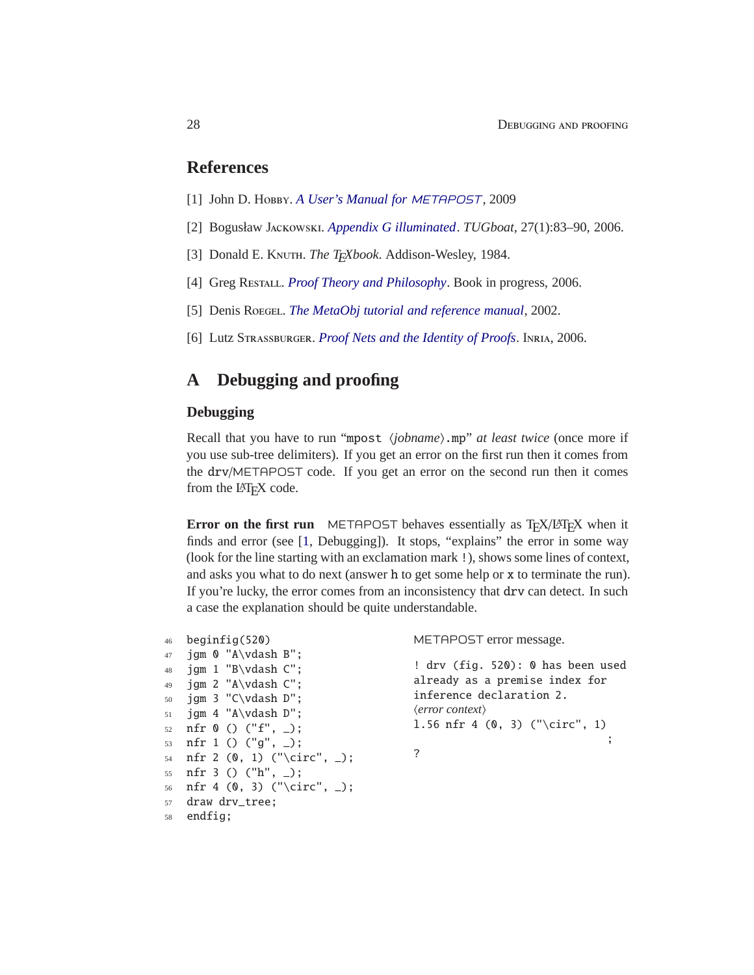#### <span id="page-27-3"></span>**References**

- <span id="page-27-1"></span>[1] John D. Hobby. *[A User's Manual for](http://tug.org/docs/metapost/mpman.pdf)* METAPOST, 2009
- <span id="page-27-2"></span>[2] Bogusław Jackowski. *[Appendix G illuminated](http://tug.org/TUGboat/Articles/tb27-1/tb86jackowski.pdf)*. *TUGboat*, 27(1):83–90, 2006.
- <span id="page-27-4"></span>[3] Donald E. KNUTH. *The TFXbook*. Addison-Wesley, 1984.
- <span id="page-27-5"></span>[4] Greg Restall. *[Proof Theory and Philosophy](http://consequently.org/papers/ptp.pdf)*. Book in progress, 2006.
- <span id="page-27-6"></span>[5] Denis Roegel. *[The MetaObj tutorial and reference manual](http://www.ctan.org/get/graphics/metapost/contrib/macros/metaobj/doc/momanual.pdf)*, 2002.
- [6] Lutz Strassburger. *[Proof Nets and the Identity of Proofs](http://www.lix.polytechnique.fr/~lutz/papers/RR-6013.pdf)*. Inria, 2006.

## <span id="page-27-0"></span>**A Debugging and proofing**

#### **Debugging**

Recall that you have to run "mpost *\jobname*}.mp" *at least twice* (once more if you use sub-tree delimiters). If you get an error on the first run then it comes from the drv/METAPOST code. If you get an error on the second run then it comes from the L<sup>AT</sup>EX code.

**Error on the first run** METAPOST behaves essentially as T<sub>E</sub>X/LAT<sub>E</sub>X when it finds and error (see [\[1,](#page-27-3) Debugging]). It stops, "explains" the error in some way (look for the line starting with an exclamation mark !), shows some lines of context, and asks you what to do next (answer h to get some help or x to terminate the run). If you're lucky, the error comes from an inconsistency that drv can detect. In such a case the explanation should be quite understandable.

```
46 beginfig(520)
47 jgm 0 "A\vdash B";
48 jgm 1 "B\vdash C";
49 jgm 2 "A\vdash C";
50 jgm 3 "C\vdash D";
51 jgm 4 "A\vdash D";
52 nfr 0 () ("f", _);
53 nfr 1 () ("g", _);
54 nfr 2 (0, 1) ("\circ", _);
55 nfr 3 () ("h", _);
56 nfr 4 (0, 3) ("\circ", _);
57 draw drv_tree;
```

```
58 endfig;
```
METAPOST error message.

! drv (fig. 520): 0 has been used already as a premise index for inference declaration 2. h*error context*i l.56 nfr 4 (0, 3) ("\circ", 1) ; ?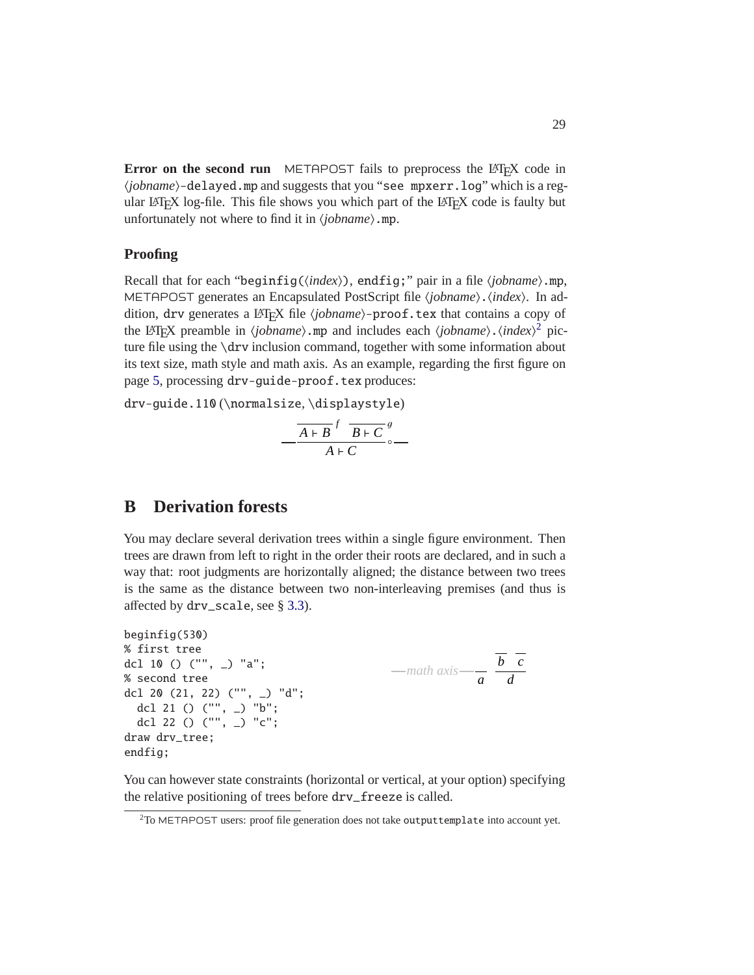**Error on the second run** METAPOST fails to preprocess the LAT<sub>E</sub>X code in  $\langle jobname \rangle$ -delayed.mp and suggests that you "see mpxerr.log" which is a regular LATEX log-file. This file shows you which part of the LATEX code is faulty but unfortunately not where to find it in  $\langle jobname \rangle$ .mp.

#### **Proofing**

Recall that for each "beginfig(\*index*}), endfig;" pair in a file \*jobname*}.mp, METAPOST generates an Encapsulated PostScript file (*jobname*). (*index*). In addition, drv generates a LAT<sub>E</sub>X file (*jobname*)-proof.tex that contains a copy of the LAT<sub>E</sub>X preamble in  $\langle jobname \rangle$ .mp and includes each  $\langle jobname \rangle$ . $\langle index \rangle^2$  $\langle index \rangle^2$  picture file using the \drv inclusion command, together with some information about its text size, math style and math axis. As an example, regarding the first figure on page [5,](#page-4-0) processing drv-guide-proof.tex produces:

drv-guide.110 (\normalsize, \displaystyle)

$$
-\frac{\overline{A+B}^f\overline{B+C}^g}{A+C}\circ-
$$

## <span id="page-28-0"></span>**B Derivation forests**

You may declare several derivation trees within a single figure environment. Then trees are drawn from left to right in the order their roots are declared, and in such a way that: root judgments are horizontally aligned; the distance between two trees is the same as the distance between two non-interleaving premises (and thus is affected by drv\_scale, see § [3.3\)](#page-11-1).

```
beginfig(530)
% first tree
dcl 10 () ("", _) "a";
% second tree
dcl 20 (21, 22) ("", _) "d";
  dcl 21 () ("", _) "b";
  dcl 22 () ("", _) "c";
draw drv_tree;
endfig;
                                              math axis
a
                                                            b c
                                                              d
```
You can however state constraints (horizontal or vertical, at your option) specifying the relative positioning of trees before drv\_freeze is called.

<span id="page-28-1"></span><sup>&</sup>lt;sup>2</sup>To METAPOST users: proof file generation does not take outputtemplate into account yet.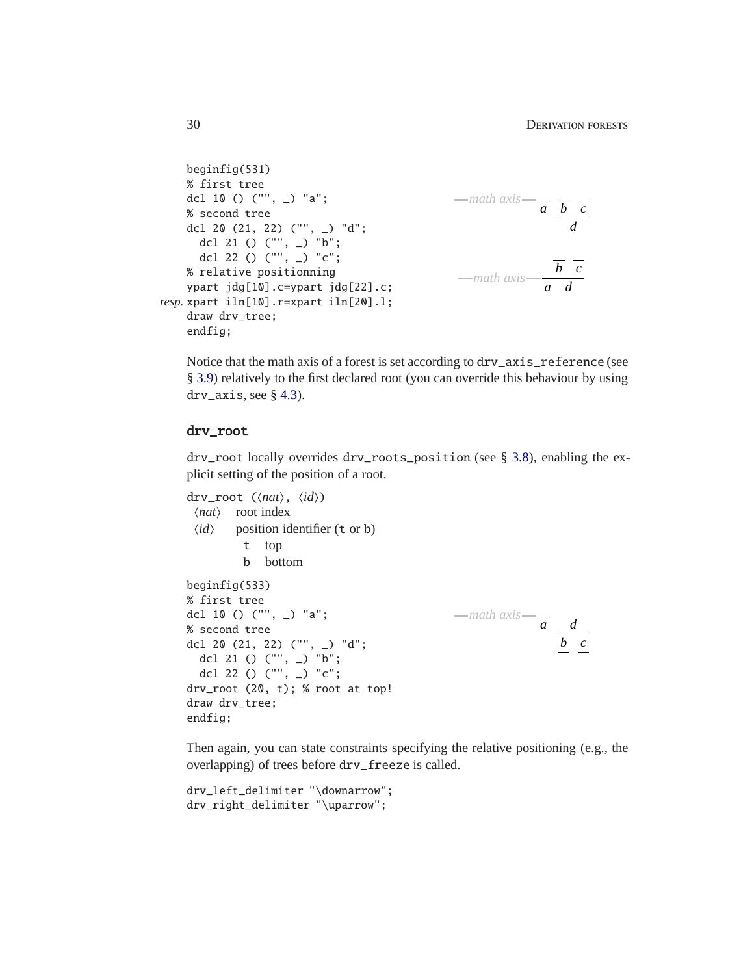```
beginfig(531)
    % first tree
    dcl 10 () ("", _) "a";
    % second tree
    dcl 20 (21, 22) ("", _) "d";
       dcl 21 () ("", _) "b";
       dcl 22 () ("", _) "c";
    % relative positionning
    ypart jdg[10].c=ypart jdg[22].c;
resp. xpart iln[10].r=xpart iln[20].l;
    draw drv_tree;
    endfig;
                                                       math axis — \overline{a} \overline{b} \overline{c}d
                                                       math axis
a
                                                                      b c
                                                                        d
```
Notice that the math axis of a forest is set according to drv\_axis\_reference (see § [3.9\)](#page-14-1) relatively to the first declared root (you can override this behaviour by using  $\text{drv}_\text{axis, see § } 4.3$ ).

#### <span id="page-29-0"></span>drv\_root

drv\_root locally overrides drv\_roots\_position (see § [3.8\)](#page-14-0), enabling the explicit setting of the position of a root.

```
drv_root (\langle nat\rangle, \langle id\rangle)
 \langle nat\rangle root index
 \langle id \rangle position identifier (t or b)
          t top
          b bottom
beginfig(533)
% first tree
dcl 10 () ("", _) "a";
% second tree
dcl 20 (21, 22) ("", _) "d";
  dcl 21 () ("", _) "b";
  dcl 22 () ("", _) "c";
drv_root (20, t); % root at top!
draw drv_tree;
endfig;
                                                 math axis
                                                                a
                                                                    b c
                                                                    d
```
Then again, you can state constraints specifying the relative positioning (e.g., the overlapping) of trees before drv\_freeze is called.

```
drv_left_delimiter "\downarrow";
drv_right_delimiter "\uparrow";
```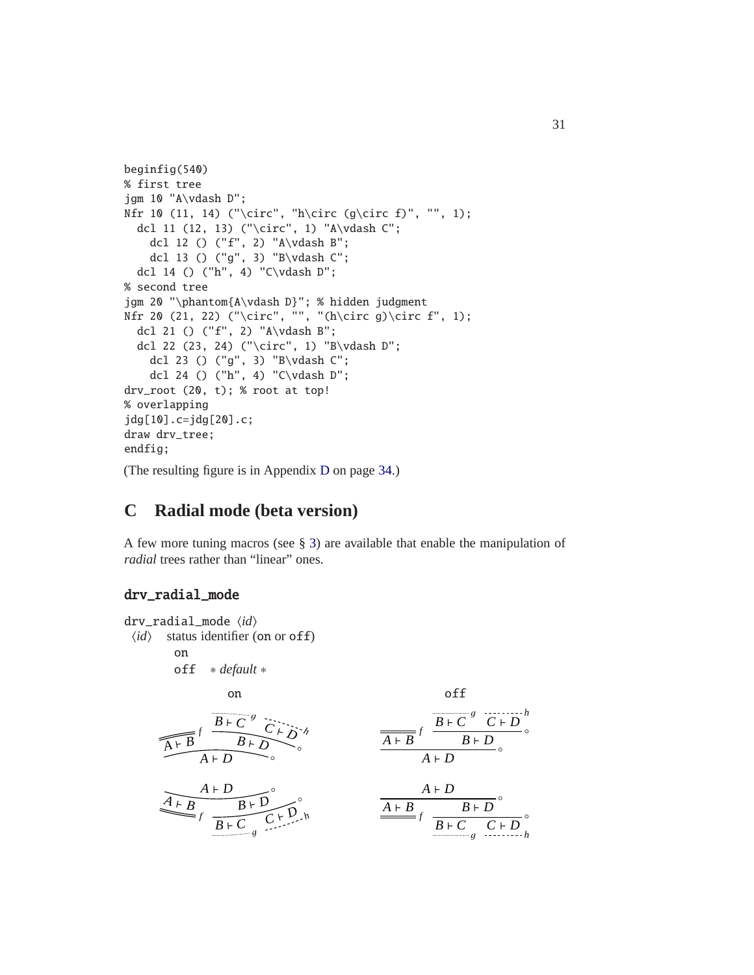```
beginfig(540)
% first tree
jgm 10 "A\vdash D";
Nfr 10 (11, 14) ("\circ", "h\circ (g\circ f)", "", 1);
  dcl 11 (12, 13) ("\circ", 1) "A\vdash C";
    dcl 12 () ("f", 2) "A\vdash B";
    dcl 13 () ("g", 3) "B\vdash C";
  dcl 14 () ("h", 4) "C\vdash D";
% second tree
jgm 20 "\phantom{A\vdash D}"; % hidden judgment
Nfr 20 (21, 22) ("\circ", "", "(h\circ g)\circ f", 1);
  dcl 21 () ("f", 2) "A\vdash B";
  dcl 22 (23, 24) ("\circ", 1) "B\vdash D";
    dcl 23 () ("g", 3) "B\vdash C";
    dcl 24 () ("h", 4) "C\vdash D";
drv_root (20, t); % root at top!
% overlapping
jdg[10].c=jdg[20].c;
draw drv_tree;
endfig;
(The resulting figure is in Appendix D on page 34.)
```
## <span id="page-30-0"></span>**C Radial mode (beta version)**

A few more tuning macros (see § [3\)](#page-10-0) are available that enable the manipulation of *radial* trees rather than "linear" ones.

#### drv\_radial\_mode

```
drv_radial_mode \langle id \rangle\langle id \rangle status identifier (on or off)
                      on
                     off ∗ default ∗
                                             on off
                 \overbrace{A \vdash B}^f \xrightarrow{B \vdash C^g} C \vdash D^g\frac{B+C}{B+B} f \frac{B+C}{B+D} g \frac{B+D}{B+D}\overline{B \vdash D}<sup>o</sup>
                                                                                                                                 A ⊢ D
                                                                                                                                                                   ◦
                 A ⊢ B
                                 f \left( \frac{B+C}{B+C} \right)C ⊢ D
h
                                                  \widehat{B} \vdash D \frown \widehat{S}A ⊢ D ⇒ ∘
                                                                                                                 \frac{A+B}{B+C} f \frac{B+D}{g} \frac{C+D}{f}B ⊢ D \frac{}{} \frac{}{} \frac{}{} \frac{}{} \frac{}{} \frac{}{} \frac{}{} \frac{}{} \frac{}{} \frac{}{} \frac{}{} \frac{}{} \frac{}{} \frac{}{} \frac{}{} \frac{}{} \frac{}{} \frac{}{} \frac{}{} \frac{}{} \frac{}{} \frac{}{} \frac{}{} \frac{}{} \frac{}{} \frac{}{} \frac{}{} \frac{}{} \frac{}{} \frac{}{} 
                                                                                                                                  A ⊢ D ∴
```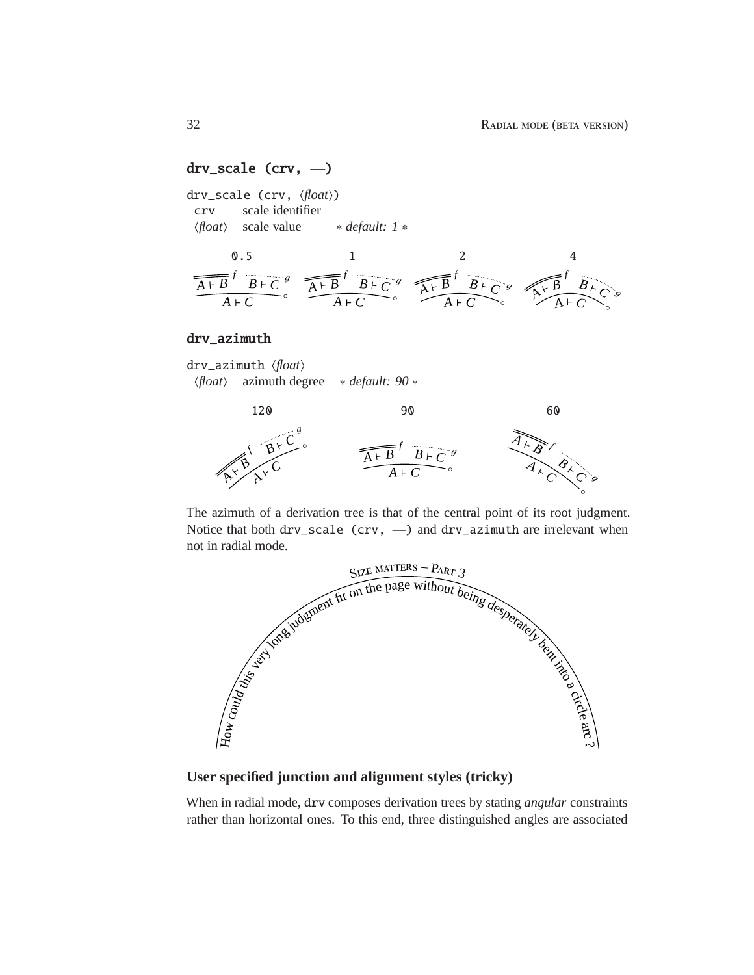#### drv\_scale (crv, —)

drv\_scale (crv,  $\langle float \rangle$ ) crv scale identifier h*float*i scale value ∗ *default: 1* ∗



#### drv\_azimuth

drv\_azimuth  $\langle float \rangle$ h*float*i azimuth degree ∗ *default: 90* ∗



The azimuth of a derivation tree is that of the central point of its root judgment. Notice that both drv\_scale (crv, —) and drv\_azimuth are irrelevant when not in radial mode.



**User specified junction and alignment styles (tricky)**

When in radial mode, drv composes derivation trees by stating *angular* constraints rather than horizontal ones. To this end, three distinguished angles are associated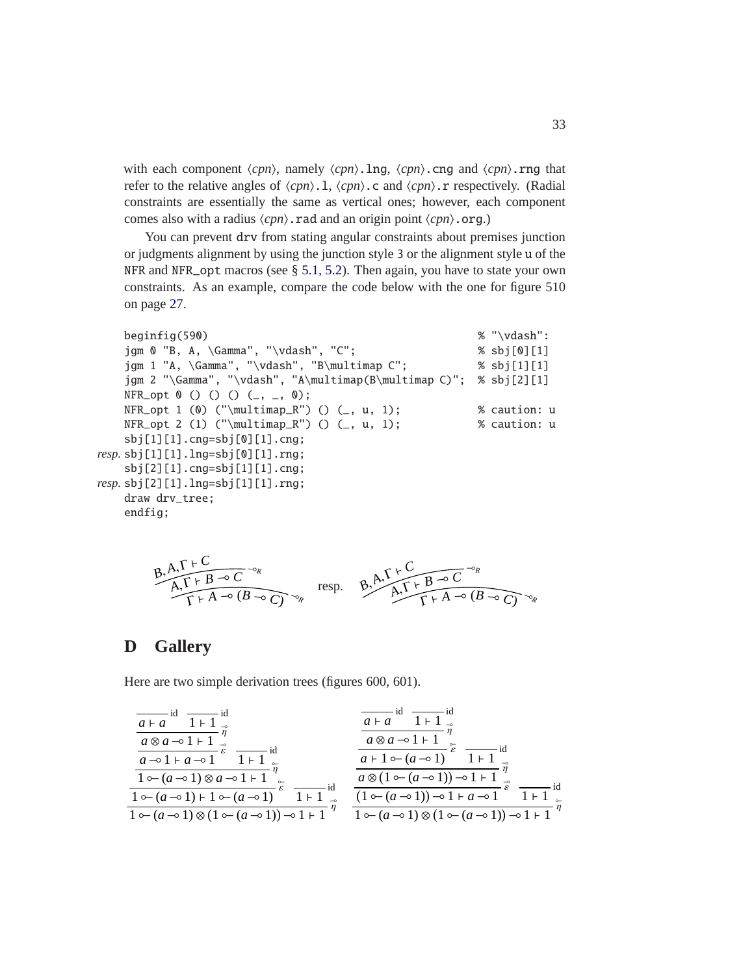with each component  $\langle cpn \rangle$ , namely  $\langle cpn \rangle$ . Ing,  $\langle cpn \rangle$ . cng and  $\langle cpn \rangle$ . rng that refer to the relative angles of  $\langle cpn\rangle$ .l,  $\langle cpn\rangle$ .c and  $\langle cpn\rangle$ .r respectively. (Radial constraints are essentially the same as vertical ones; however, each component comes also with a radius  $\langle cpn\rangle$ .rad and an origin point  $\langle cpn\rangle$ .org.)

You can prevent drv from stating angular constraints about premises junction or judgments alignment by using the junction style 3 or the alignment style u of the NFR and NFR\_opt macros (see § [5.1,](#page-19-1) [5.2\)](#page-21-0). Then again, you have to state your own constraints. As an example, compare the code below with the one for figure 510 on page [27.](#page-26-0)

```
beginfig(590) \% "\vdash":
   jgm 0 "B, A, \Gamma", "\vdash", "C"; % sbj[0][1]
   jgm 1 "A, \Gamma", "\vdash", "B\multimap C"; % sbj[1][1]
   jgm 2 "\Gamma", "\vdash", "A\multimap(B\multimap C)"; % sbj[2][1]
   NFR\_opt 0 () () () (_, _, 0);
   NFR_opt 1 (0) ("\multimap_R") () (, u, 1); % caution: u
   NFR\_opt 2 (1) ("\multimap_R") () (_, u, 1); % caution: u
   sbj[1][1].cng=sbj[0][1].cng;
resp. sbj[1][1].lng=sbj[0][1].rng;
   sbj[2][1].cng=sbj[1][1].cng;
resp. sbj[2][1].lng=sbj[1][1].rng;
   draw drv_tree;
   endfig;
```
B, A, 
$$
\Gamma + C
$$
  
A,  $\Gamma + B \rightarrow C$   
 $\Gamma + A \rightarrow (B \rightarrow C)$   
 $\sim_R$  resp.  $\beta, A, \Gamma + B \rightarrow C$   
 $A, \Gamma + B \rightarrow C$   
 $\Gamma + A \rightarrow (B \rightarrow C)$   
 $\sim_R$ 

## <span id="page-32-0"></span>**D Gallery**

Here are two simple derivation trees (figures 600, 601).

| $a \mapsto a$                                                                 | $1 + 1$        |
|-------------------------------------------------------------------------------|----------------|
| $a \otimes a \rightarrow 1 + 1$                                               | $\tilde{\eta}$ |
| $a \otimes a \rightarrow 1 + 1$                                               | $\tilde{\eta}$ |
| $a \rightarrow 1 + a \rightarrow 1$                                           | $1 + 1$        |
| $1 \circ (a \rightarrow 1) \otimes a \rightarrow 1 + 1$                       | $\tilde{\eta}$ |
| $1 \circ (a \rightarrow 1) \otimes (1 \circ (a \rightarrow 1)) \circ (1 + 1)$ | $\tilde{\eta}$ |
| $1 \circ (a \rightarrow 1) \otimes (1 \circ (a \rightarrow 1)) \circ (1 + 1)$ | $\tilde{\eta}$ |
| $1 \circ (a \rightarrow 1) \otimes (1 \circ (a \rightarrow 1)) \circ (1 + 1)$ | $\tilde{\eta}$ |
| $1 \circ (a \rightarrow 1) \otimes (1 \circ (a \rightarrow 1)) \circ (1 + 1)$ | $\tilde{\eta}$ |
| $1 \circ (a \rightarrow 1) \otimes (1 \circ (a \rightarrow 1)) \circ (1 + 1)$ | $\tilde{\eta}$ |
| $1 \circ (a \rightarrow 1) \otimes (1 \circ (a \rightarrow 1)) \circ (1 + 1)$ | $\tilde{\eta}$ |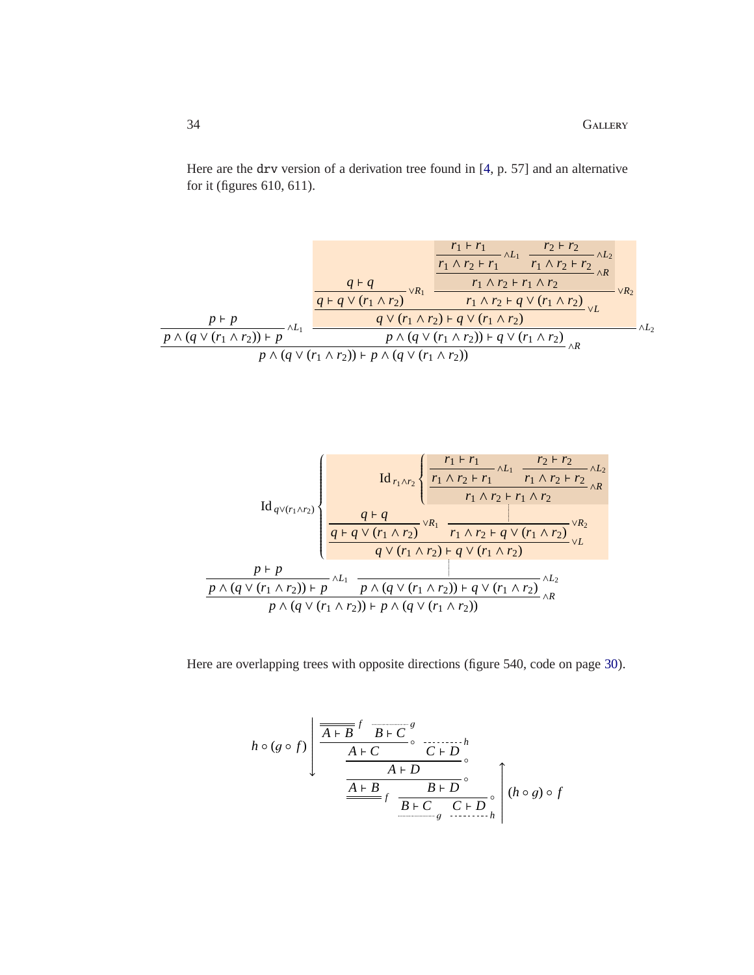Here are the drv version of a derivation tree found in [\[4,](#page-27-4) p. 57] and an alternative for it (figures 610, 611).

$$
\frac{r_1 + r_1}{r_1 \wedge r_2 + r_1} \wedge L_1 \qquad \frac{r_2 + r_2}{r_1 \wedge r_2 + r_2} \wedge L_2}{\frac{q + q \vee (r_1 \wedge r_2)}{q + q \vee (r_1 \wedge r_2)} \vee R_1} \wedge \frac{r_1 \wedge r_2 + r_1 \wedge r_2}{r_1 \wedge r_2 + q \vee (r_1 \wedge r_2)} \wedge R_2}{\frac{p \wedge (q \vee (r_1 \wedge r_2)) + p}{p \wedge (q \vee (r_1 \wedge r_2)) + p \wedge (q \vee (r_1 \wedge r_2)) + q \vee (r_1 \wedge r_2)} \vee L} \wedge L_2}
$$



Here are overlapping trees with opposite directions (figure 540, code on page [30\)](#page-29-0).

$$
h \circ (g \circ f) \left( \frac{\overline{A+B}^f \overline{B+C}^g}{\frac{A+C}{\Delta+D} \cdot \overline{C+D}^h} \cdot \frac{A+B}{\frac{A+B}{\Delta+D} \cdot \overline{B+D}^c} \cdot \left( h \circ g \right) \circ f \right)
$$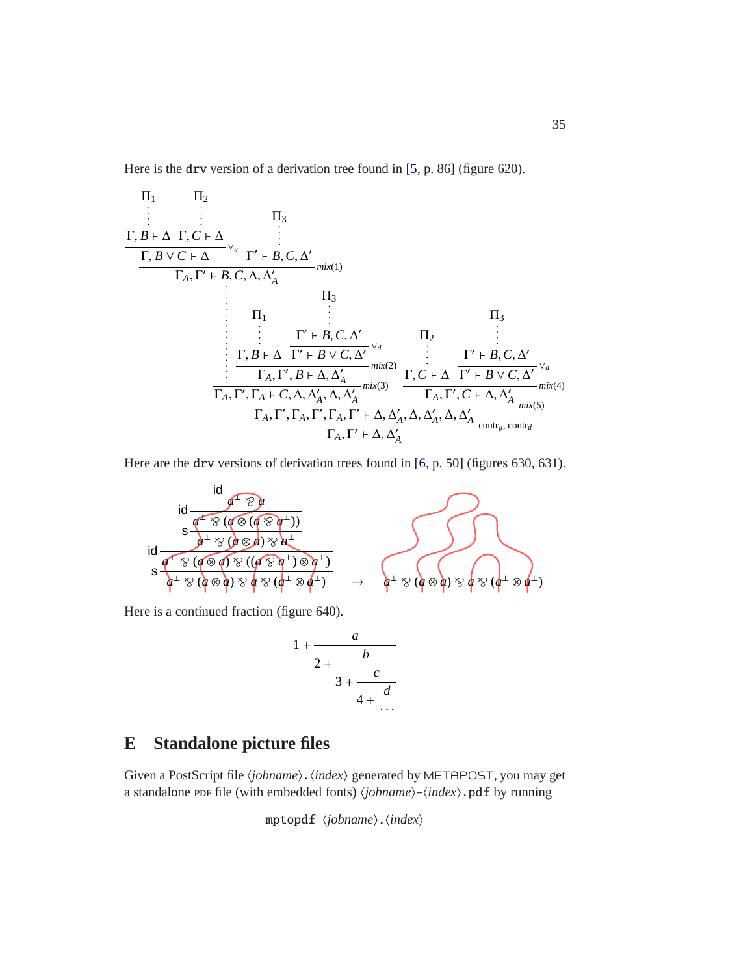Here is the drv version of a derivation tree found in [\[5,](#page-27-5) p. 86] (figure 620).

$$
\Pi_{1} \Pi_{2}
$$
\n
$$
\vdots \Pi_{3}
$$
\n
$$
\Gamma, B \vdash \Delta \Gamma, C \vdash \Delta
$$
\n
$$
\vdots \Pi_{A}, \Gamma' \vdash B, C, \Delta, \Delta'_{A}
$$
\n
$$
\Pi_{1}
$$
\n
$$
\vdots \Pi_{1}
$$
\n
$$
\vdots \Pi_{2}
$$
\n
$$
\vdots \Pi_{3}
$$
\n
$$
\Pi_{1}
$$
\n
$$
\vdots \Pi_{2}
$$
\n
$$
\vdots \Pi_{3}
$$
\n
$$
\vdots \Pi_{4}, \Gamma' \vdash B, C, \Delta'
$$
\n
$$
\vdots \Pi_{5}
$$
\n
$$
\vdots \Pi_{6}
$$
\n
$$
\vdots \Pi_{7} \vdots \Pi_{8}
$$
\n
$$
\vdots \Pi_{9}
$$
\n
$$
\vdots \Pi_{1}
$$
\n
$$
\vdots \Pi_{1}
$$
\n
$$
\vdots \Pi_{1}
$$
\n
$$
\vdots \Pi_{1}
$$
\n
$$
\vdots \Pi_{1}
$$
\n
$$
\vdots \Pi_{1}
$$
\n
$$
\vdots \Pi_{2}
$$
\n
$$
\vdots \Pi_{3}
$$
\n
$$
\vdots \Pi_{1}
$$
\n
$$
\vdots \Pi_{2}
$$
\n
$$
\vdots \Pi_{3}
$$
\n
$$
\vdots \Pi_{1}
$$
\n
$$
\vdots \Pi_{2}
$$
\n
$$
\vdots \Pi_{3}
$$
\n
$$
\vdots \Pi_{1}
$$
\n
$$
\vdots \Pi_{2}
$$
\n
$$
\vdots \Pi_{3}
$$
\n
$$
\vdots \Pi_{4}, \Gamma' \vdash B \lor C, \Delta'
$$
\n
$$
\vdots \Pi_{5}
$$
\n
$$
\vdots \Pi_{7}
$$
\n
$$
\vdots \Pi_{8}
$$
\n
$$
\vdots \Pi_{9}
$$
\n
$$
\vdots \Pi_{1}
$$
\n
$$
\vdots \Pi_{1}
$$
\n
$$
\vdots \Pi_{2}
$$
\n
$$
\vdots \Pi_{3}
$$
\n
$$
\vdots \Pi_{4}
$$
\n
$$
\vdots \Pi_{5}
$$
\n

Here are the drv versions of derivation trees found in [\[6,](#page-27-6) p. 50] (figures 630, 631).

$$
\frac{\text{id}}{\text{d} \frac{d^+ \otimes q}{\text{d}^+ \otimes (d \otimes (d \otimes d^+))}}
$$
\n
$$
\text{id} \frac{s \frac{d^+ \otimes (d \otimes (d \otimes d^+))}{d^+ \otimes (d \otimes d) \otimes d^+}}{s \frac{d^- \otimes (d \otimes q) \otimes ((d \otimes d^+) \otimes d^+)}{d^+ \otimes (d \otimes d) \otimes d^+}} \rightarrow \text{d}^+ \otimes (d \otimes q) \otimes q \otimes (q^+ \otimes q^+)
$$

Here is a continued fraction (figure 640).

$$
1 + \cfrac{a}{2 + \cfrac{b}{3 + \cfrac{c}{4 + \cfrac{d}{\cdots}}}}
$$

## <span id="page-34-0"></span>**E Standalone picture files**

Given a PostScript file (*jobname*). (*index*) generated by METAPOST, you may get a standalone ppF file (with embedded fonts)  $\langle jobname \rangle$ - $\langle index \rangle$ .pdf by running

mptopdf  $\langle\textit{jobname}\rangle.\langle\textit{index}\rangle$